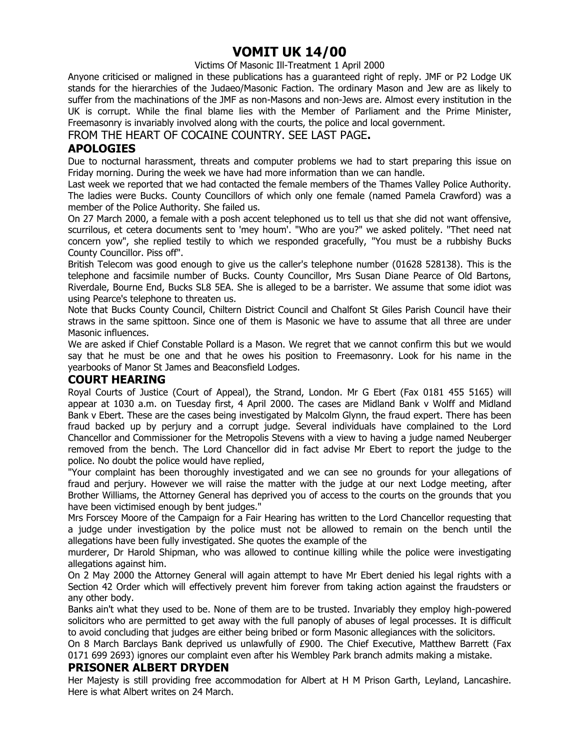### **VOMIT UK 14/00**

Victims Of Masonic Ill-Treatment 1 April 2000

Anyone criticised or maligned in these publications has a guaranteed right of reply. JMF or P2 Lodge UK stands for the hierarchies of the Judaeo/Masonic Faction. The ordinary Mason and Jew are as likely to suffer from the machinations of the JMF as non-Masons and non-Jews are. Almost every institution in the UK is corrupt. While the final blame lies with the Member of Parliament and the Prime Minister, Freemasonry is invariably involved along with the courts, the police and local government.

FROM THE HEART OF COCAINE COUNTRY. SEE LAST PAGE**.**

#### **APOLOGIES**

Due to nocturnal harassment, threats and computer problems we had to start preparing this issue on Friday morning. During the week we have had more information than we can handle.

Last week we reported that we had contacted the female members of the Thames Valley Police Authority. The ladies were Bucks. County Councillors of which only one female (named Pamela Crawford) was a member of the Police Authority. She failed us.

On 27 March 2000, a female with a posh accent telephoned us to tell us that she did not want offensive, scurrilous, et cetera documents sent to 'mey houm'. "Who are you?" we asked politely. "Thet need nat concern yow", she replied testily to which we responded gracefully, "You must be a rubbishy Bucks County Councillor. Piss off".

British Telecom was good enough to give us the caller's telephone number (01628 528138). This is the telephone and facsimile number of Bucks. County Councillor, Mrs Susan Diane Pearce of Old Bartons, Riverdale, Bourne End, Bucks SL8 5EA. She is alleged to be a barrister. We assume that some idiot was using Pearce's telephone to threaten us.

Note that Bucks County Council, Chiltern District Council and Chalfont St Giles Parish Council have their straws in the same spittoon. Since one of them is Masonic we have to assume that all three are under Masonic influences.

We are asked if Chief Constable Pollard is a Mason. We regret that we cannot confirm this but we would say that he must be one and that he owes his position to Freemasonry. Look for his name in the yearbooks of Manor St James and Beaconsfield Lodges.

#### **COURT HEARING**

Royal Courts of Justice (Court of Appeal), the Strand, London. Mr G Ebert (Fax 0181 455 5165) will appear at 1030 a.m. on Tuesday first, 4 April 2000. The cases are Midland Bank v Wolff and Midland Bank v Ebert. These are the cases being investigated by Malcolm Glynn, the fraud expert. There has been fraud backed up by perjury and a corrupt judge. Several individuals have complained to the Lord Chancellor and Commissioner for the Metropolis Stevens with a view to having a judge named Neuberger removed from the bench. The Lord Chancellor did in fact advise Mr Ebert to report the judge to the police. No doubt the police would have replied,

"Your complaint has been thoroughly investigated and we can see no grounds for your allegations of fraud and perjury. However we will raise the matter with the judge at our next Lodge meeting, after Brother Williams, the Attorney General has deprived you of access to the courts on the grounds that you have been victimised enough by bent judges."

Mrs Forscey Moore of the Campaign for a Fair Hearing has written to the Lord Chancellor requesting that a judge under investigation by the police must not be allowed to remain on the bench until the allegations have been fully investigated. She quotes the example of the

murderer, Dr Harold Shipman, who was allowed to continue killing while the police were investigating allegations against him.

On 2 May 2000 the Attorney General will again attempt to have Mr Ebert denied his legal rights with a Section 42 Order which will effectively prevent him forever from taking action against the fraudsters or any other body.

Banks ain't what they used to be. None of them are to be trusted. Invariably they employ high-powered solicitors who are permitted to get away with the full panoply of abuses of legal processes. It is difficult to avoid concluding that judges are either being bribed or form Masonic allegiances with the solicitors.

On 8 March Barclays Bank deprived us unlawfully of £900. The Chief Executive, Matthew Barrett (Fax 0171 699 2693) ignores our complaint even after his Wembley Park branch admits making a mistake.

#### **PRISONER ALBERT DRYDEN**

Her Majesty is still providing free accommodation for Albert at H M Prison Garth, Leyland, Lancashire. Here is what Albert writes on 24 March.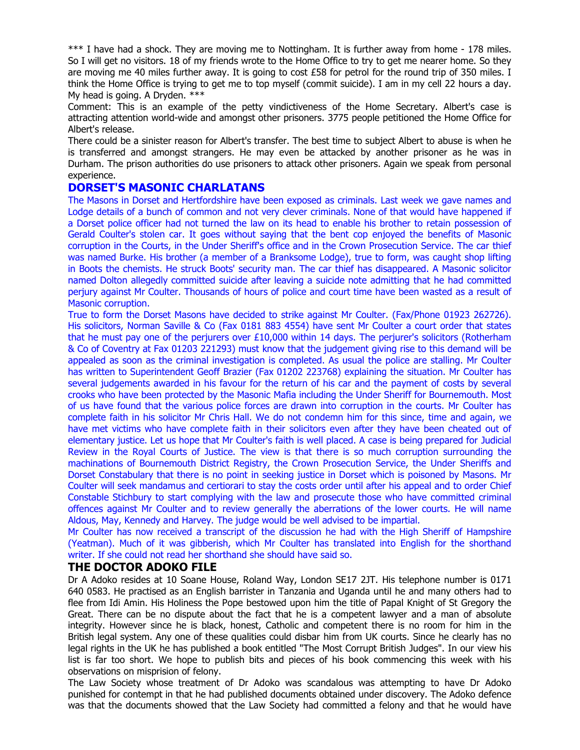\*\*\* I have had a shock. They are moving me to Nottingham. It is further away from home - 178 miles. So I will get no visitors. 18 of my friends wrote to the Home Office to try to get me nearer home. So they are moving me 40 miles further away. It is going to cost £58 for petrol for the round trip of 350 miles. I think the Home Office is trying to get me to top myself (commit suicide). I am in my cell 22 hours a day. My head is going. A Dryden. \*\*\*

Comment: This is an example of the petty vindictiveness of the Home Secretary. Albert's case is attracting attention world-wide and amongst other prisoners. 3775 people petitioned the Home Office for Albert's release.

There could be a sinister reason for Albert's transfer. The best time to subject Albert to abuse is when he is transferred and amongst strangers. He may even be attacked by another prisoner as he was in Durham. The prison authorities do use prisoners to attack other prisoners. Again we speak from personal experience.

#### **DORSET'S MASONIC CHARLATANS**

The Masons in Dorset and Hertfordshire have been exposed as criminals. Last week we gave names and Lodge details of a bunch of common and not very clever criminals. None of that would have happened if a Dorset police officer had not turned the law on its head to enable his brother to retain possession of Gerald Coulter's stolen car. It goes without saying that the bent cop enjoyed the benefits of Masonic corruption in the Courts, in the Under Sheriff's office and in the Crown Prosecution Service. The car thief was named Burke. His brother (a member of a Branksome Lodge), true to form, was caught shop lifting in Boots the chemists. He struck Boots' security man. The car thief has disappeared. A Masonic solicitor named Dolton allegedly committed suicide after leaving a suicide note admitting that he had committed perjury against Mr Coulter. Thousands of hours of police and court time have been wasted as a result of Masonic corruption.

True to form the Dorset Masons have decided to strike against Mr Coulter. (Fax/Phone 01923 262726). His solicitors, Norman Saville & Co (Fax 0181 883 4554) have sent Mr Coulter a court order that states that he must pay one of the perjurers over £10,000 within 14 days. The perjurer's solicitors (Rotherham & Co of Coventry at Fax 01203 221293) must know that the judgement giving rise to this demand will be appealed as soon as the criminal investigation is completed. As usual the police are stalling. Mr Coulter has written to Superintendent Geoff Brazier (Fax 01202 223768) explaining the situation. Mr Coulter has several judgements awarded in his favour for the return of his car and the payment of costs by several crooks who have been protected by the Masonic Mafia including the Under Sheriff for Bournemouth. Most of us have found that the various police forces are drawn into corruption in the courts. Mr Coulter has complete faith in his solicitor Mr Chris Hall. We do not condemn him for this since, time and again, we have met victims who have complete faith in their solicitors even after they have been cheated out of elementary justice. Let us hope that Mr Coulter's faith is well placed. A case is being prepared for Judicial Review in the Royal Courts of Justice. The view is that there is so much corruption surrounding the machinations of Bournemouth District Registry, the Crown Prosecution Service, the Under Sheriffs and Dorset Constabulary that there is no point in seeking justice in Dorset which is poisoned by Masons. Mr Coulter will seek mandamus and certiorari to stay the costs order until after his appeal and to order Chief Constable Stichbury to start complying with the law and prosecute those who have committed criminal offences against Mr Coulter and to review generally the aberrations of the lower courts. He will name Aldous, May, Kennedy and Harvey. The judge would be well advised to be impartial.

Mr Coulter has now received a transcript of the discussion he had with the High Sheriff of Hampshire (Yeatman). Much of it was gibberish, which Mr Coulter has translated into English for the shorthand writer. If she could not read her shorthand she should have said so.

#### **THE DOCTOR ADOKO FILE**

Dr A Adoko resides at 10 Soane House, Roland Way, London SE17 2JT. His telephone number is 0171 640 0583. He practised as an English barrister in Tanzania and Uganda until he and many others had to flee from Idi Amin. His Holiness the Pope bestowed upon him the title of Papal Knight of St Gregory the Great. There can be no dispute about the fact that he is a competent lawyer and a man of absolute integrity. However since he is black, honest, Catholic and competent there is no room for him in the British legal system. Any one of these qualities could disbar him from UK courts. Since he clearly has no legal rights in the UK he has published a book entitled "The Most Corrupt British Judges". In our view his list is far too short. We hope to publish bits and pieces of his book commencing this week with his observations on misprision of felony.

The Law Society whose treatment of Dr Adoko was scandalous was attempting to have Dr Adoko punished for contempt in that he had published documents obtained under discovery. The Adoko defence was that the documents showed that the Law Society had committed a felony and that he would have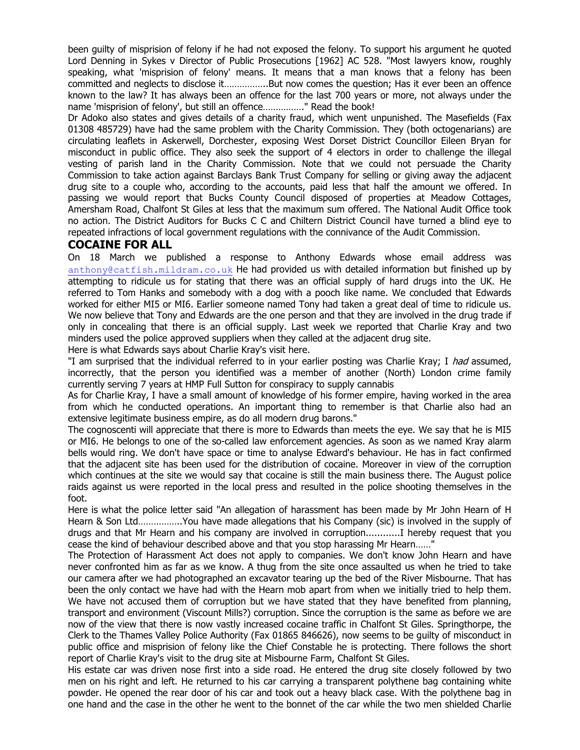been guilty of misprision of felony if he had not exposed the felony. To support his argument he quoted Lord Denning in Sykes v Director of Public Prosecutions [1962] AC 528. "Most lawyers know, roughly speaking, what 'misprision of felony' means. It means that a man knows that a felony has been committed and neglects to disclose it……………..But now comes the question; Has it ever been an offence known to the law? It has always been an offence for the last 700 years or more, not always under the name 'misprision of felony', but still an offence……………." Read the book!

Dr Adoko also states and gives details of a charity fraud, which went unpunished. The Masefields (Fax 01308 485729) have had the same problem with the Charity Commission. They (both octogenarians) are circulating leaflets in Askerwell, Dorchester, exposing West Dorset District Councillor Eileen Bryan for misconduct in public office. They also seek the support of 4 electors in order to challenge the illegal vesting of parish land in the Charity Commission. Note that we could not persuade the Charity Commission to take action against Barclays Bank Trust Company for selling or giving away the adjacent drug site to a couple who, according to the accounts, paid less that half the amount we offered. In passing we would report that Bucks County Council disposed of properties at Meadow Cottages, Amersham Road, Chalfont St Giles at less that the maximum sum offered. The National Audit Office took no action. The District Auditors for Bucks C C and Chiltern District Council have turned a blind eye to repeated infractions of local government regulations with the connivance of the Audit Commission.

#### **COCAINE FOR ALL**

On 18 March we published a response to Anthony Edwards whose email address was anthony@catfish.mildram.co.uk He had provided us with detailed information but finished up by attempting to ridicule us for stating that there was an official supply of hard drugs into the UK. He referred to Tom Hanks and somebody with a dog with a pooch like name. We concluded that Edwards worked for either MI5 or MI6. Earlier someone named Tony had taken a great deal of time to ridicule us. We now believe that Tony and Edwards are the one person and that they are involved in the drug trade if only in concealing that there is an official supply. Last week we reported that Charlie Kray and two minders used the police approved suppliers when they called at the adjacent drug site.

Here is what Edwards says about Charlie Kray's visit here.

"I am surprised that the individual referred to in your earlier posting was Charlie Kray; I had assumed, incorrectly, that the person you identified was a member of another (North) London crime family currently serving 7 years at HMP Full Sutton for conspiracy to supply cannabis

As for Charlie Kray, I have a small amount of knowledge of his former empire, having worked in the area from which he conducted operations. An important thing to remember is that Charlie also had an extensive legitimate business empire, as do all modern drug barons."

The cognoscenti will appreciate that there is more to Edwards than meets the eye. We say that he is MI5 or MI6. He belongs to one of the so-called law enforcement agencies. As soon as we named Kray alarm bells would ring. We don't have space or time to analyse Edward's behaviour. He has in fact confirmed that the adjacent site has been used for the distribution of cocaine. Moreover in view of the corruption which continues at the site we would say that cocaine is still the main business there. The August police raids against us were reported in the local press and resulted in the police shooting themselves in the foot.

Here is what the police letter said "An allegation of harassment has been made by Mr John Hearn of H Hearn & Son Ltd……………..You have made allegations that his Company (sic) is involved in the supply of drugs and that Mr Hearn and his company are involved in corruption............I hereby request that you cease the kind of behaviour described above and that you stop harassing Mr Hearn……"

The Protection of Harassment Act does not apply to companies. We don't know John Hearn and have never confronted him as far as we know. A thug from the site once assaulted us when he tried to take our camera after we had photographed an excavator tearing up the bed of the River Misbourne. That has been the only contact we have had with the Hearn mob apart from when we initially tried to help them. We have not accused them of corruption but we have stated that they have benefited from planning, transport and environment (Viscount Mills?) corruption. Since the corruption is the same as before we are now of the view that there is now vastly increased cocaine traffic in Chalfont St Giles. Springthorpe, the Clerk to the Thames Valley Police Authority (Fax 01865 846626), now seems to be guilty of misconduct in public office and misprision of felony like the Chief Constable he is protecting. There follows the short report of Charlie Kray's visit to the drug site at Misbourne Farm, Chalfont St Giles.

His estate car was driven nose first into a side road. He entered the drug site closely followed by two men on his right and left. He returned to his car carrying a transparent polythene bag containing white powder. He opened the rear door of his car and took out a heavy black case. With the polythene bag in one hand and the case in the other he went to the bonnet of the car while the two men shielded Charlie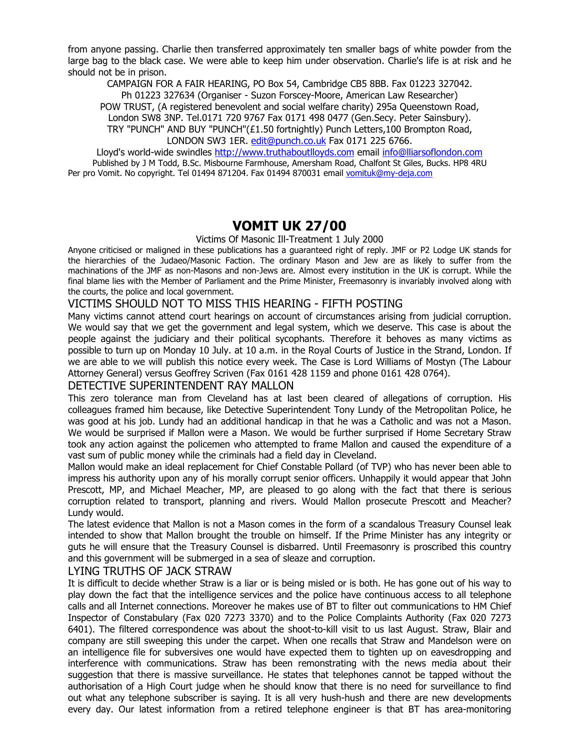from anyone passing. Charlie then transferred approximately ten smaller bags of white powder from the large bag to the black case. We were able to keep him under observation. Charlie's life is at risk and he should not be in prison.

CAMPAIGN FOR A FAIR HEARING, PO Box 54, Cambridge CB5 8BB. Fax 01223 327042.

Ph 01223 327634 (Organiser - Suzon Forscey-Moore, American Law Researcher) POW TRUST, (A registered benevolent and social welfare charity) 295a Queenstown Road, London SW8 3NP. Tel.0171 720 9767 Fax 0171 498 0477 (Gen.Secy. Peter Sainsbury).

TRY "PUNCH" AND BUY "PUNCH"(£1.50 fortnightly) Punch Letters,100 Brompton Road, LONDON SW3 1ER. edit@punch.co.uk Fax 0171 225 6766.

Lloyd's world-wide swindles http://www.truthaboutlloyds.com email info@lliarsoflondon.com Published by J M Todd, B.Sc. Misbourne Farmhouse, Amersham Road, Chalfont St Giles, Bucks. HP8 4RU Per pro Vomit. No copyright. Tel 01494 871204. Fax 01494 870031 email vomituk@my-deja.com

### **VOMIT UK 27/00**

Victims Of Masonic Ill-Treatment 1 July 2000

Anyone criticised or maligned in these publications has a guaranteed right of reply. JMF or P2 Lodge UK stands for the hierarchies of the Judaeo/Masonic Faction. The ordinary Mason and Jew are as likely to suffer from the machinations of the JMF as non-Masons and non-Jews are. Almost every institution in the UK is corrupt. While the final blame lies with the Member of Parliament and the Prime Minister, Freemasonry is invariably involved along with the courts, the police and local government.

#### VICTIMS SHOULD NOT TO MISS THIS HEARING - FIFTH POSTING

Many victims cannot attend court hearings on account of circumstances arising from judicial corruption. We would say that we get the government and legal system, which we deserve. This case is about the people against the judiciary and their political sycophants. Therefore it behoves as many victims as possible to turn up on Monday 10 July. at 10 a.m. in the Royal Courts of Justice in the Strand, London. If we are able to we will publish this notice every week. The Case is Lord Williams of Mostyn (The Labour Attorney General) versus Geoffrey Scriven (Fax 0161 428 1159 and phone 0161 428 0764).

#### DETECTIVE SUPERINTENDENT RAY MALLON

This zero tolerance man from Cleveland has at last been cleared of allegations of corruption. His colleagues framed him because, like Detective Superintendent Tony Lundy of the Metropolitan Police, he was good at his job. Lundy had an additional handicap in that he was a Catholic and was not a Mason. We would be surprised if Mallon were a Mason. We would be further surprised if Home Secretary Straw took any action against the policemen who attempted to frame Mallon and caused the expenditure of a vast sum of public money while the criminals had a field day in Cleveland.

Mallon would make an ideal replacement for Chief Constable Pollard (of TVP) who has never been able to impress his authority upon any of his morally corrupt senior officers. Unhappily it would appear that John Prescott, MP, and Michael Meacher, MP, are pleased to go along with the fact that there is serious corruption related to transport, planning and rivers. Would Mallon prosecute Prescott and Meacher? Lundy would.

The latest evidence that Mallon is not a Mason comes in the form of a scandalous Treasury Counsel leak intended to show that Mallon brought the trouble on himself. If the Prime Minister has any integrity or guts he will ensure that the Treasury Counsel is disbarred. Until Freemasonry is proscribed this country and this government will be submerged in a sea of sleaze and corruption.

#### LYING TRUTHS OF JACK STRAW

It is difficult to decide whether Straw is a liar or is being misled or is both. He has gone out of his way to play down the fact that the intelligence services and the police have continuous access to all telephone calls and all Internet connections. Moreover he makes use of BT to filter out communications to HM Chief Inspector of Constabulary (Fax 020 7273 3370) and to the Police Complaints Authority (Fax 020 7273 6401). The filtered correspondence was about the shoot-to-kill visit to us last August. Straw, Blair and company are still sweeping this under the carpet. When one recalls that Straw and Mandelson were on an intelligence file for subversives one would have expected them to tighten up on eavesdropping and interference with communications. Straw has been remonstrating with the news media about their suggestion that there is massive surveillance. He states that telephones cannot be tapped without the authorisation of a High Court judge when he should know that there is no need for surveillance to find out what any telephone subscriber is saying. It is all very hush-hush and there are new developments every day. Our latest information from a retired telephone engineer is that BT has area-monitoring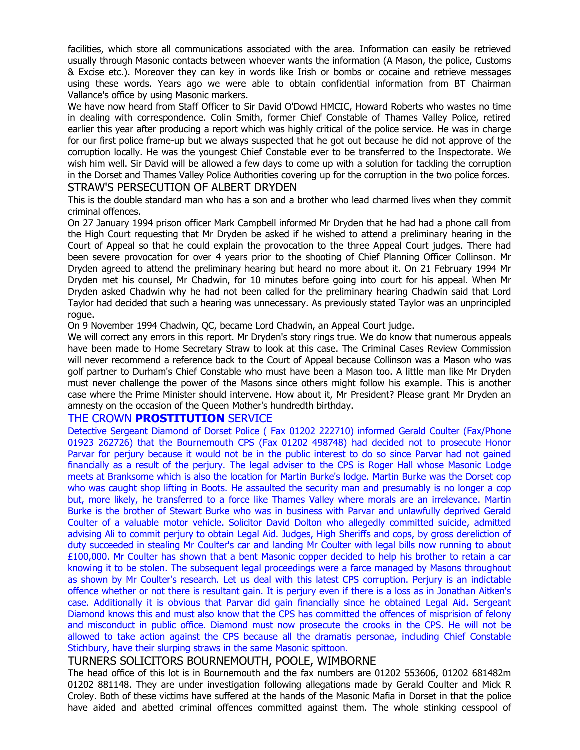facilities, which store all communications associated with the area. Information can easily be retrieved usually through Masonic contacts between whoever wants the information (A Mason, the police, Customs & Excise etc.). Moreover they can key in words like Irish or bombs or cocaine and retrieve messages using these words. Years ago we were able to obtain confidential information from BT Chairman Vallance's office by using Masonic markers.

We have now heard from Staff Officer to Sir David O'Dowd HMCIC, Howard Roberts who wastes no time in dealing with correspondence. Colin Smith, former Chief Constable of Thames Valley Police, retired earlier this year after producing a report which was highly critical of the police service. He was in charge for our first police frame-up but we always suspected that he got out because he did not approve of the corruption locally. He was the youngest Chief Constable ever to be transferred to the Inspectorate. We wish him well. Sir David will be allowed a few days to come up with a solution for tackling the corruption in the Dorset and Thames Valley Police Authorities covering up for the corruption in the two police forces. STRAW'S PERSECUTION OF ALBERT DRYDEN

This is the double standard man who has a son and a brother who lead charmed lives when they commit criminal offences.

On 27 January 1994 prison officer Mark Campbell informed Mr Dryden that he had had a phone call from the High Court requesting that Mr Dryden be asked if he wished to attend a preliminary hearing in the Court of Appeal so that he could explain the provocation to the three Appeal Court judges. There had been severe provocation for over 4 years prior to the shooting of Chief Planning Officer Collinson. Mr Dryden agreed to attend the preliminary hearing but heard no more about it. On 21 February 1994 Mr Dryden met his counsel, Mr Chadwin, for 10 minutes before going into court for his appeal. When Mr Dryden asked Chadwin why he had not been called for the preliminary hearing Chadwin said that Lord Taylor had decided that such a hearing was unnecessary. As previously stated Taylor was an unprincipled rogue.

On 9 November 1994 Chadwin, QC, became Lord Chadwin, an Appeal Court judge.

We will correct any errors in this report. Mr Dryden's story rings true. We do know that numerous appeals have been made to Home Secretary Straw to look at this case. The Criminal Cases Review Commission will never recommend a reference back to the Court of Appeal because Collinson was a Mason who was golf partner to Durham's Chief Constable who must have been a Mason too. A little man like Mr Dryden must never challenge the power of the Masons since others might follow his example. This is another case where the Prime Minister should intervene. How about it, Mr President? Please grant Mr Dryden an amnesty on the occasion of the Queen Mother's hundredth birthday.

#### THE CROWN **PROSTITUTION** SERVICE

Detective Sergeant Diamond of Dorset Police ( Fax 01202 222710) informed Gerald Coulter (Fax/Phone 01923 262726) that the Bournemouth CPS (Fax 01202 498748) had decided not to prosecute Honor Parvar for perjury because it would not be in the public interest to do so since Parvar had not gained financially as a result of the perjury. The legal adviser to the CPS is Roger Hall whose Masonic Lodge meets at Branksome which is also the location for Martin Burke's lodge. Martin Burke was the Dorset cop who was caught shop lifting in Boots. He assaulted the security man and presumably is no longer a cop but, more likely, he transferred to a force like Thames Valley where morals are an irrelevance. Martin Burke is the brother of Stewart Burke who was in business with Parvar and unlawfully deprived Gerald Coulter of a valuable motor vehicle. Solicitor David Dolton who allegedly committed suicide, admitted advising Ali to commit perjury to obtain Legal Aid. Judges, High Sheriffs and cops, by gross dereliction of duty succeeded in stealing Mr Coulter's car and landing Mr Coulter with legal bills now running to about £100,000. Mr Coulter has shown that a bent Masonic copper decided to help his brother to retain a car knowing it to be stolen. The subsequent legal proceedings were a farce managed by Masons throughout as shown by Mr Coulter's research. Let us deal with this latest CPS corruption. Perjury is an indictable offence whether or not there is resultant gain. It is perjury even if there is a loss as in Jonathan Aitken's case. Additionally it is obvious that Parvar did gain financially since he obtained Legal Aid. Sergeant Diamond knows this and must also know that the CPS has committed the offences of misprision of felony and misconduct in public office. Diamond must now prosecute the crooks in the CPS. He will not be allowed to take action against the CPS because all the dramatis personae, including Chief Constable Stichbury, have their slurping straws in the same Masonic spittoon.

#### TURNERS SOLICITORS BOURNEMOUTH, POOLE, WIMBORNE

The head office of this lot is in Bournemouth and the fax numbers are 01202 553606, 01202 681482m 01202 881148. They are under investigation following allegations made by Gerald Coulter and Mick R Croley. Both of these victims have suffered at the hands of the Masonic Mafia in Dorset in that the police have aided and abetted criminal offences committed against them. The whole stinking cesspool of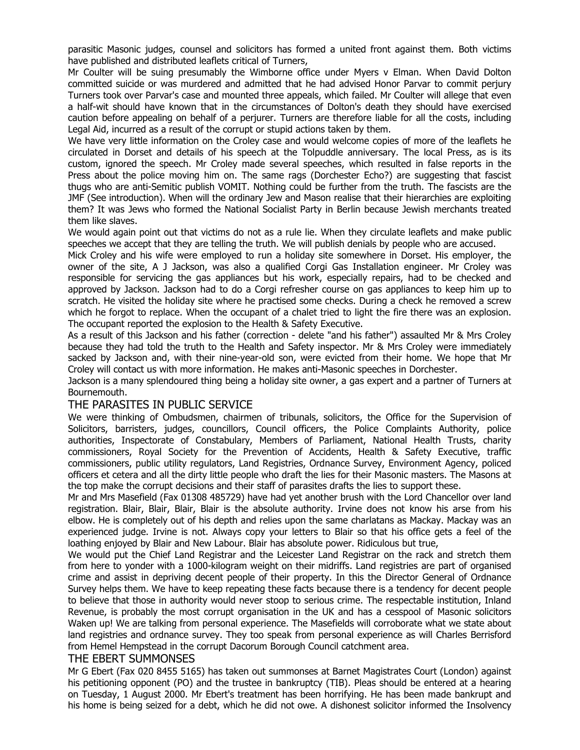parasitic Masonic judges, counsel and solicitors has formed a united front against them. Both victims have published and distributed leaflets critical of Turners,

Mr Coulter will be suing presumably the Wimborne office under Myers v Elman. When David Dolton committed suicide or was murdered and admitted that he had advised Honor Parvar to commit perjury Turners took over Parvar's case and mounted three appeals, which failed. Mr Coulter will allege that even a half-wit should have known that in the circumstances of Dolton's death they should have exercised caution before appealing on behalf of a perjurer. Turners are therefore liable for all the costs, including Legal Aid, incurred as a result of the corrupt or stupid actions taken by them.

We have very little information on the Croley case and would welcome copies of more of the leaflets he circulated in Dorset and details of his speech at the Tolpuddle anniversary. The local Press, as is its custom, ignored the speech. Mr Croley made several speeches, which resulted in false reports in the Press about the police moving him on. The same rags (Dorchester Echo?) are suggesting that fascist thugs who are anti-Semitic publish VOMIT. Nothing could be further from the truth. The fascists are the JMF (See introduction). When will the ordinary Jew and Mason realise that their hierarchies are exploiting them? It was Jews who formed the National Socialist Party in Berlin because Jewish merchants treated them like slaves.

We would again point out that victims do not as a rule lie. When they circulate leaflets and make public speeches we accept that they are telling the truth. We will publish denials by people who are accused.

Mick Croley and his wife were employed to run a holiday site somewhere in Dorset. His employer, the owner of the site, A J Jackson, was also a qualified Corgi Gas Installation engineer. Mr Croley was responsible for servicing the gas appliances but his work, especially repairs, had to be checked and approved by Jackson. Jackson had to do a Corgi refresher course on gas appliances to keep him up to scratch. He visited the holiday site where he practised some checks. During a check he removed a screw which he forgot to replace. When the occupant of a chalet tried to light the fire there was an explosion. The occupant reported the explosion to the Health & Safety Executive.

As a result of this Jackson and his father (correction - delete "and his father") assaulted Mr & Mrs Croley because they had told the truth to the Health and Safety inspector. Mr & Mrs Croley were immediately sacked by Jackson and, with their nine-year-old son, were evicted from their home. We hope that Mr Croley will contact us with more information. He makes anti-Masonic speeches in Dorchester.

Jackson is a many splendoured thing being a holiday site owner, a gas expert and a partner of Turners at Bournemouth.

#### THE PARASITES IN PUBLIC SERVICE

We were thinking of Ombudsmen, chairmen of tribunals, solicitors, the Office for the Supervision of Solicitors, barristers, judges, councillors, Council officers, the Police Complaints Authority, police authorities, Inspectorate of Constabulary, Members of Parliament, National Health Trusts, charity commissioners, Royal Society for the Prevention of Accidents, Health & Safety Executive, traffic commissioners, public utility regulators, Land Registries, Ordnance Survey, Environment Agency, policed officers et cetera and all the dirty little people who draft the lies for their Masonic masters. The Masons at the top make the corrupt decisions and their staff of parasites drafts the lies to support these.

Mr and Mrs Masefield (Fax 01308 485729) have had yet another brush with the Lord Chancellor over land registration. Blair, Blair, Blair, Blair is the absolute authority. Irvine does not know his arse from his elbow. He is completely out of his depth and relies upon the same charlatans as Mackay. Mackay was an experienced judge. Irvine is not. Always copy your letters to Blair so that his office gets a feel of the loathing enjoyed by Blair and New Labour. Blair has absolute power. Ridiculous but true,

We would put the Chief Land Registrar and the Leicester Land Registrar on the rack and stretch them from here to yonder with a 1000-kilogram weight on their midriffs. Land registries are part of organised crime and assist in depriving decent people of their property. In this the Director General of Ordnance Survey helps them. We have to keep repeating these facts because there is a tendency for decent people to believe that those in authority would never stoop to serious crime. The respectable institution, Inland Revenue, is probably the most corrupt organisation in the UK and has a cesspool of Masonic solicitors Waken up! We are talking from personal experience. The Masefields will corroborate what we state about land registries and ordnance survey. They too speak from personal experience as will Charles Berrisford from Hemel Hempstead in the corrupt Dacorum Borough Council catchment area.

#### THE EBERT SUMMONSES

Mr G Ebert (Fax 020 8455 5165) has taken out summonses at Barnet Magistrates Court (London) against his petitioning opponent (PO) and the trustee in bankruptcy (TIB). Pleas should be entered at a hearing on Tuesday, 1 August 2000. Mr Ebert's treatment has been horrifying. He has been made bankrupt and his home is being seized for a debt, which he did not owe. A dishonest solicitor informed the Insolvency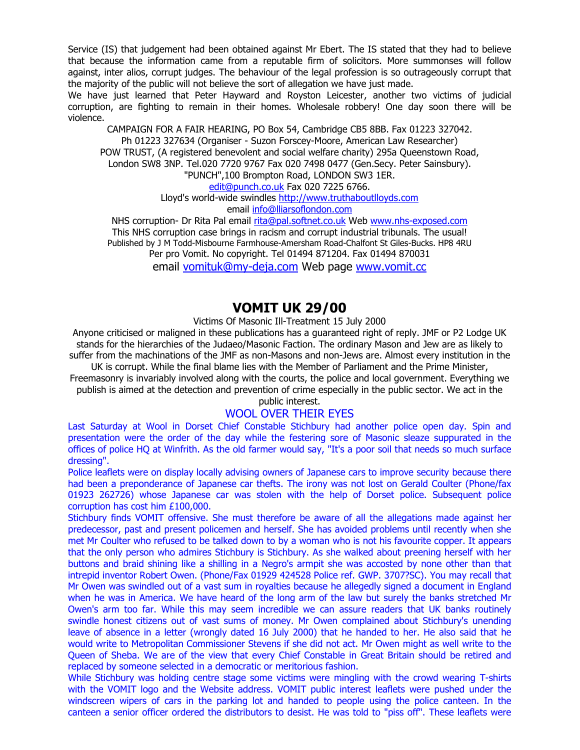Service (IS) that judgement had been obtained against Mr Ebert. The IS stated that they had to believe that because the information came from a reputable firm of solicitors. More summonses will follow against, inter alios, corrupt judges. The behaviour of the legal profession is so outrageously corrupt that the majority of the public will not believe the sort of allegation we have just made.

We have just learned that Peter Hayward and Royston Leicester, another two victims of judicial corruption, are fighting to remain in their homes. Wholesale robbery! One day soon there will be violence.

CAMPAIGN FOR A FAIR HEARING, PO Box 54, Cambridge CB5 8BB. Fax 01223 327042. Ph 01223 327634 (Organiser - Suzon Forscey-Moore, American Law Researcher) POW TRUST, (A registered benevolent and social welfare charity) 295a Queenstown Road, London SW8 3NP. Tel.020 7720 9767 Fax 020 7498 0477 (Gen.Secy. Peter Sainsbury). "PUNCH",100 Brompton Road, LONDON SW3 1ER.

edit@punch.co.uk Fax 020 7225 6766.

Lloyd's world-wide swindles http://www.truthaboutlloyds.com email info@lliarsoflondon.com

NHS corruption- Dr Rita Pal email rita@pal.softnet.co.uk Web www.nhs-exposed.com This NHS corruption case brings in racism and corrupt industrial tribunals. The usual! Published by J M Todd-Misbourne Farmhouse-Amersham Road-Chalfont St Giles-Bucks. HP8 4RU Per pro Vomit. No copyright. Tel 01494 871204. Fax 01494 870031

email vomituk@my-deja.com Web page www.vomit.cc

### **VOMIT UK 29/00**

Victims Of Masonic Ill-Treatment 15 July 2000

Anyone criticised or maligned in these publications has a guaranteed right of reply. JMF or P2 Lodge UK stands for the hierarchies of the Judaeo/Masonic Faction. The ordinary Mason and Jew are as likely to suffer from the machinations of the JMF as non-Masons and non-Jews are. Almost every institution in the UK is corrupt. While the final blame lies with the Member of Parliament and the Prime Minister,

Freemasonry is invariably involved along with the courts, the police and local government. Everything we publish is aimed at the detection and prevention of crime especially in the public sector. We act in the

public interest.

#### WOOL OVER THEIR EYES

Last Saturday at Wool in Dorset Chief Constable Stichbury had another police open day. Spin and presentation were the order of the day while the festering sore of Masonic sleaze suppurated in the offices of police HQ at Winfrith. As the old farmer would say, "It's a poor soil that needs so much surface dressing".

Police leaflets were on display locally advising owners of Japanese cars to improve security because there had been a preponderance of Japanese car thefts. The irony was not lost on Gerald Coulter (Phone/fax 01923 262726) whose Japanese car was stolen with the help of Dorset police. Subsequent police corruption has cost him £100,000.

Stichbury finds VOMIT offensive. She must therefore be aware of all the allegations made against her predecessor, past and present policemen and herself. She has avoided problems until recently when she met Mr Coulter who refused to be talked down to by a woman who is not his favourite copper. It appears that the only person who admires Stichbury is Stichbury. As she walked about preening herself with her buttons and braid shining like a shilling in a Negro's armpit she was accosted by none other than that intrepid inventor Robert Owen. (Phone/Fax 01929 424528 Police ref. GWP. 3707?SC). You may recall that Mr Owen was swindled out of a vast sum in royalties because he allegedly signed a document in England when he was in America. We have heard of the long arm of the law but surely the banks stretched Mr Owen's arm too far. While this may seem incredible we can assure readers that UK banks routinely swindle honest citizens out of vast sums of money. Mr Owen complained about Stichbury's unending leave of absence in a letter (wrongly dated 16 July 2000) that he handed to her. He also said that he would write to Metropolitan Commissioner Stevens if she did not act. Mr Owen might as well write to the Queen of Sheba. We are of the view that every Chief Constable in Great Britain should be retired and replaced by someone selected in a democratic or meritorious fashion.

While Stichbury was holding centre stage some victims were mingling with the crowd wearing T-shirts with the VOMIT logo and the Website address. VOMIT public interest leaflets were pushed under the windscreen wipers of cars in the parking lot and handed to people using the police canteen. In the canteen a senior officer ordered the distributors to desist. He was told to "piss off". These leaflets were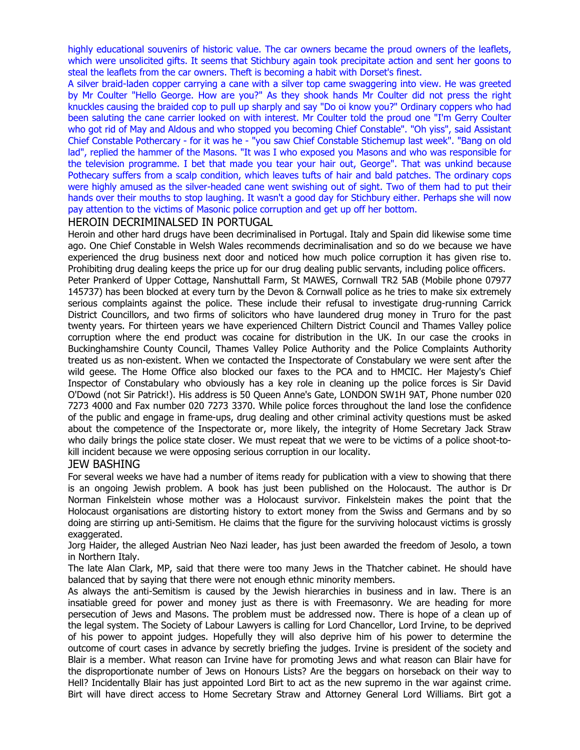highly educational souvenirs of historic value. The car owners became the proud owners of the leaflets, which were unsolicited gifts. It seems that Stichbury again took precipitate action and sent her goons to steal the leaflets from the car owners. Theft is becoming a habit with Dorset's finest.

A silver braid-laden copper carrying a cane with a silver top came swaggering into view. He was greeted by Mr Coulter "Hello George. How are you?" As they shook hands Mr Coulter did not press the right knuckles causing the braided cop to pull up sharply and say "Do oi know you?" Ordinary coppers who had been saluting the cane carrier looked on with interest. Mr Coulter told the proud one "I'm Gerry Coulter who got rid of May and Aldous and who stopped you becoming Chief Constable". "Oh yiss", said Assistant Chief Constable Pothercary - for it was he - "you saw Chief Constable Stichemup last week". "Bang on old lad", replied the hammer of the Masons. "It was I who exposed you Masons and who was responsible for the television programme. I bet that made you tear your hair out, George". That was unkind because Pothecary suffers from a scalp condition, which leaves tufts of hair and bald patches. The ordinary cops were highly amused as the silver-headed cane went swishing out of sight. Two of them had to put their hands over their mouths to stop laughing. It wasn't a good day for Stichbury either. Perhaps she will now pay attention to the victims of Masonic police corruption and get up off her bottom.

#### HEROIN DECRIMINALSED IN PORTUGAL

Heroin and other hard drugs have been decriminalised in Portugal. Italy and Spain did likewise some time ago. One Chief Constable in Welsh Wales recommends decriminalisation and so do we because we have experienced the drug business next door and noticed how much police corruption it has given rise to. Prohibiting drug dealing keeps the price up for our drug dealing public servants, including police officers.

Peter Prankerd of Upper Cottage, Nanshuttall Farm, St MAWES, Cornwall TR2 5AB (Mobile phone 07977 145737) has been blocked at every turn by the Devon & Cornwall police as he tries to make six extremely serious complaints against the police. These include their refusal to investigate drug-running Carrick District Councillors, and two firms of solicitors who have laundered drug money in Truro for the past twenty years. For thirteen years we have experienced Chiltern District Council and Thames Valley police corruption where the end product was cocaine for distribution in the UK. In our case the crooks in Buckinghamshire County Council, Thames Valley Police Authority and the Police Complaints Authority treated us as non-existent. When we contacted the Inspectorate of Constabulary we were sent after the wild geese. The Home Office also blocked our faxes to the PCA and to HMCIC. Her Majesty's Chief Inspector of Constabulary who obviously has a key role in cleaning up the police forces is Sir David O'Dowd (not Sir Patrick!). His address is 50 Queen Anne's Gate, LONDON SW1H 9AT, Phone number 020 7273 4000 and Fax number 020 7273 3370. While police forces throughout the land lose the confidence of the public and engage in frame-ups, drug dealing and other criminal activity questions must be asked about the competence of the Inspectorate or, more likely, the integrity of Home Secretary Jack Straw who daily brings the police state closer. We must repeat that we were to be victims of a police shoot-tokill incident because we were opposing serious corruption in our locality.

#### JEW BASHING

For several weeks we have had a number of items ready for publication with a view to showing that there is an ongoing Jewish problem. A book has just been published on the Holocaust. The author is Dr Norman Finkelstein whose mother was a Holocaust survivor. Finkelstein makes the point that the Holocaust organisations are distorting history to extort money from the Swiss and Germans and by so doing are stirring up anti-Semitism. He claims that the figure for the surviving holocaust victims is grossly exaggerated.

Jorg Haider, the alleged Austrian Neo Nazi leader, has just been awarded the freedom of Jesolo, a town in Northern Italy.

The late Alan Clark, MP, said that there were too many Jews in the Thatcher cabinet. He should have balanced that by saying that there were not enough ethnic minority members.

As always the anti-Semitism is caused by the Jewish hierarchies in business and in law. There is an insatiable greed for power and money just as there is with Freemasonry. We are heading for more persecution of Jews and Masons. The problem must be addressed now. There is hope of a clean up of the legal system. The Society of Labour Lawyers is calling for Lord Chancellor, Lord Irvine, to be deprived of his power to appoint judges. Hopefully they will also deprive him of his power to determine the outcome of court cases in advance by secretly briefing the judges. Irvine is president of the society and Blair is a member. What reason can Irvine have for promoting Jews and what reason can Blair have for the disproportionate number of Jews on Honours Lists? Are the beggars on horseback on their way to Hell? Incidentally Blair has just appointed Lord Birt to act as the new supremo in the war against crime. Birt will have direct access to Home Secretary Straw and Attorney General Lord Williams. Birt got a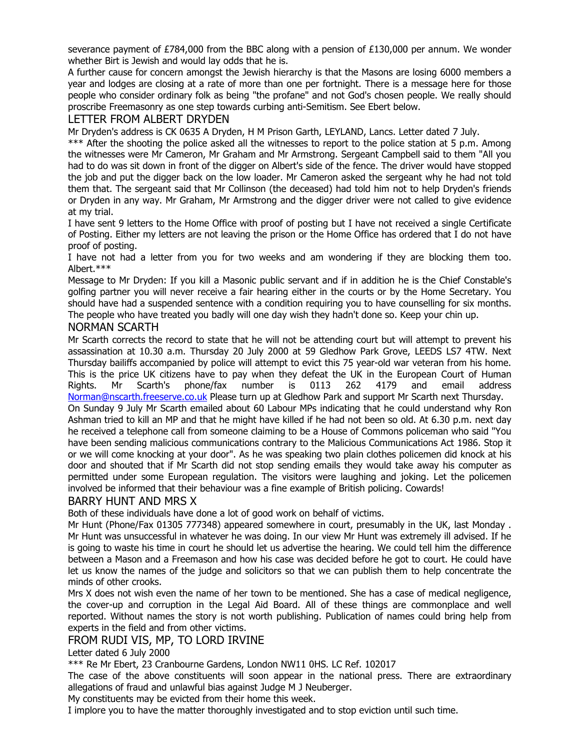severance payment of £784,000 from the BBC along with a pension of £130,000 per annum. We wonder whether Birt is Jewish and would lay odds that he is.

A further cause for concern amongst the Jewish hierarchy is that the Masons are losing 6000 members a year and lodges are closing at a rate of more than one per fortnight. There is a message here for those people who consider ordinary folk as being "the profane" and not God's chosen people. We really should proscribe Freemasonry as one step towards curbing anti-Semitism. See Ebert below.

#### LETTER FROM ALBERT DRYDEN

Mr Dryden's address is CK 0635 A Dryden, H M Prison Garth, LEYLAND, Lancs. Letter dated 7 July.

\*\*\* After the shooting the police asked all the witnesses to report to the police station at 5 p.m. Among the witnesses were Mr Cameron, Mr Graham and Mr Armstrong. Sergeant Campbell said to them "All you had to do was sit down in front of the digger on Albert's side of the fence. The driver would have stopped the job and put the digger back on the low loader. Mr Cameron asked the sergeant why he had not told them that. The sergeant said that Mr Collinson (the deceased) had told him not to help Dryden's friends or Dryden in any way. Mr Graham, Mr Armstrong and the digger driver were not called to give evidence at my trial.

I have sent 9 letters to the Home Office with proof of posting but I have not received a single Certificate of Posting. Either my letters are not leaving the prison or the Home Office has ordered that I do not have proof of posting.

I have not had a letter from you for two weeks and am wondering if they are blocking them too. Albert.\*\*\*

Message to Mr Dryden: If you kill a Masonic public servant and if in addition he is the Chief Constable's golfing partner you will never receive a fair hearing either in the courts or by the Home Secretary. You should have had a suspended sentence with a condition requiring you to have counselling for six months. The people who have treated you badly will one day wish they hadn't done so. Keep your chin up.

#### NORMAN SCARTH

Mr Scarth corrects the record to state that he will not be attending court but will attempt to prevent his assassination at 10.30 a.m. Thursday 20 July 2000 at 59 Gledhow Park Grove, LEEDS LS7 4TW. Next Thursday bailiffs accompanied by police will attempt to evict this 75 year-old war veteran from his home. This is the price UK citizens have to pay when they defeat the UK in the European Court of Human Rights. Mr Scarth's phone/fax number is 0113 262 4179 and email address Norman@nscarth.freeserve.co.uk Please turn up at Gledhow Park and support Mr Scarth next Thursday.

On Sunday 9 July Mr Scarth emailed about 60 Labour MPs indicating that he could understand why Ron Ashman tried to kill an MP and that he might have killed if he had not been so old. At 6.30 p.m. next day he received a telephone call from someone claiming to be a House of Commons policeman who said "You have been sending malicious communications contrary to the Malicious Communications Act 1986. Stop it or we will come knocking at your door". As he was speaking two plain clothes policemen did knock at his door and shouted that if Mr Scarth did not stop sending emails they would take away his computer as permitted under some European regulation. The visitors were laughing and joking. Let the policemen involved be informed that their behaviour was a fine example of British policing. Cowards!

#### BARRY HUNT AND MRS X

Both of these individuals have done a lot of good work on behalf of victims.

Mr Hunt (Phone/Fax 01305 777348) appeared somewhere in court, presumably in the UK, last Monday . Mr Hunt was unsuccessful in whatever he was doing. In our view Mr Hunt was extremely ill advised. If he is going to waste his time in court he should let us advertise the hearing. We could tell him the difference between a Mason and a Freemason and how his case was decided before he got to court. He could have let us know the names of the judge and solicitors so that we can publish them to help concentrate the minds of other crooks.

Mrs X does not wish even the name of her town to be mentioned. She has a case of medical negligence, the cover-up and corruption in the Legal Aid Board. All of these things are commonplace and well reported. Without names the story is not worth publishing. Publication of names could bring help from experts in the field and from other victims.

#### FROM RUDI VIS, MP, TO LORD IRVINE

#### Letter dated 6 July 2000

\*\*\* Re Mr Ebert, 23 Cranbourne Gardens, London NW11 0HS. LC Ref. 102017

The case of the above constituents will soon appear in the national press. There are extraordinary allegations of fraud and unlawful bias against Judge M J Neuberger.

My constituents may be evicted from their home this week.

I implore you to have the matter thoroughly investigated and to stop eviction until such time.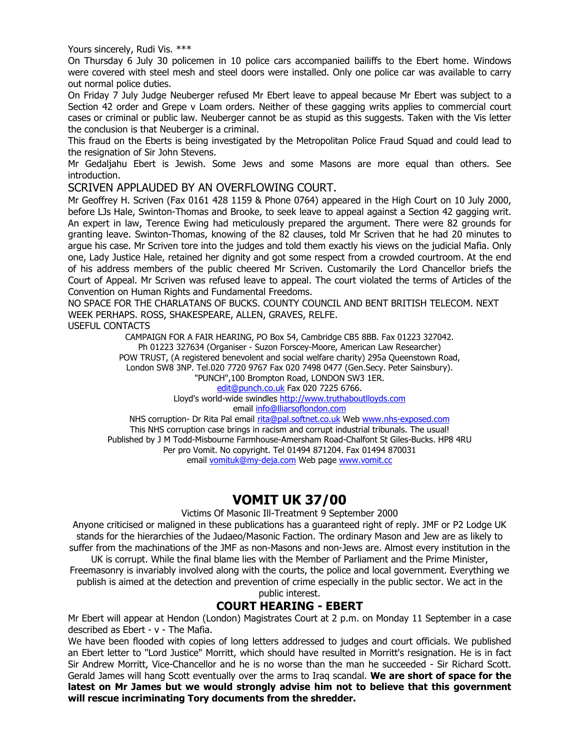Yours sincerely, Rudi Vis. \*\*\*

On Thursday 6 July 30 policemen in 10 police cars accompanied bailiffs to the Ebert home. Windows were covered with steel mesh and steel doors were installed. Only one police car was available to carry out normal police duties.

On Friday 7 July Judge Neuberger refused Mr Ebert leave to appeal because Mr Ebert was subject to a Section 42 order and Grepe v Loam orders. Neither of these gagging writs applies to commercial court cases or criminal or public law. Neuberger cannot be as stupid as this suggests. Taken with the Vis letter the conclusion is that Neuberger is a criminal.

This fraud on the Eberts is being investigated by the Metropolitan Police Fraud Squad and could lead to the resignation of Sir John Stevens.

Mr Gedaljahu Ebert is Jewish. Some Jews and some Masons are more equal than others. See introduction.

#### SCRIVEN APPLAUDED BY AN OVERFLOWING COURT.

Mr Geoffrey H. Scriven (Fax 0161 428 1159 & Phone 0764) appeared in the High Court on 10 July 2000, before LJs Hale, Swinton-Thomas and Brooke, to seek leave to appeal against a Section 42 gagging writ. An expert in law, Terence Ewing had meticulously prepared the argument. There were 82 grounds for granting leave. Swinton-Thomas, knowing of the 82 clauses, told Mr Scriven that he had 20 minutes to argue his case. Mr Scriven tore into the judges and told them exactly his views on the judicial Mafia. Only one, Lady Justice Hale, retained her dignity and got some respect from a crowded courtroom. At the end of his address members of the public cheered Mr Scriven. Customarily the Lord Chancellor briefs the Court of Appeal. Mr Scriven was refused leave to appeal. The court violated the terms of Articles of the Convention on Human Rights and Fundamental Freedoms.

NO SPACE FOR THE CHARLATANS OF BUCKS. COUNTY COUNCIL AND BENT BRITISH TELECOM. NEXT WEEK PERHAPS. ROSS, SHAKESPEARE, ALLEN, GRAVES, RELFE.

USEFUL CONTACTS

CAMPAIGN FOR A FAIR HEARING, PO Box 54, Cambridge CB5 8BB. Fax 01223 327042. Ph 01223 327634 (Organiser - Suzon Forscey-Moore, American Law Researcher) POW TRUST, (A registered benevolent and social welfare charity) 295a Queenstown Road, London SW8 3NP. Tel.020 7720 9767 Fax 020 7498 0477 (Gen.Secy. Peter Sainsbury). "PUNCH",100 Brompton Road, LONDON SW3 1ER. edit@punch.co.uk Fax 020 7225 6766.

Lloyd's world-wide swindles http://www.truthaboutlloyds.com email info@lliarsoflondon.com

NHS corruption- Dr Rita Pal email rita@pal.softnet.co.uk Web www.nhs-exposed.com This NHS corruption case brings in racism and corrupt industrial tribunals. The usual! Published by J M Todd-Misbourne Farmhouse-Amersham Road-Chalfont St Giles-Bucks. HP8 4RU Per pro Vomit. No copyright. Tel 01494 871204. Fax 01494 870031 email vomituk@my-deja.com Web page www.vomit.cc

### **VOMIT UK 37/00**

Victims Of Masonic Ill-Treatment 9 September 2000

Anyone criticised or maligned in these publications has a guaranteed right of reply. JMF or P2 Lodge UK stands for the hierarchies of the Judaeo/Masonic Faction. The ordinary Mason and Jew are as likely to suffer from the machinations of the JMF as non-Masons and non-Jews are. Almost every institution in the UK is corrupt. While the final blame lies with the Member of Parliament and the Prime Minister,

Freemasonry is invariably involved along with the courts, the police and local government. Everything we publish is aimed at the detection and prevention of crime especially in the public sector. We act in the public interest.

### **COURT HEARING - EBERT**

Mr Ebert will appear at Hendon (London) Magistrates Court at 2 p.m. on Monday 11 September in a case described as Ebert - v - The Mafia.

We have been flooded with copies of long letters addressed to judges and court officials. We published an Ebert letter to "Lord Justice" Morritt, which should have resulted in Morritt's resignation. He is in fact Sir Andrew Morritt, Vice-Chancellor and he is no worse than the man he succeeded - Sir Richard Scott. Gerald James will hang Scott eventually over the arms to Iraq scandal. **We are short of space for the latest on Mr James but we would strongly advise him not to believe that this government will rescue incriminating Tory documents from the shredder.**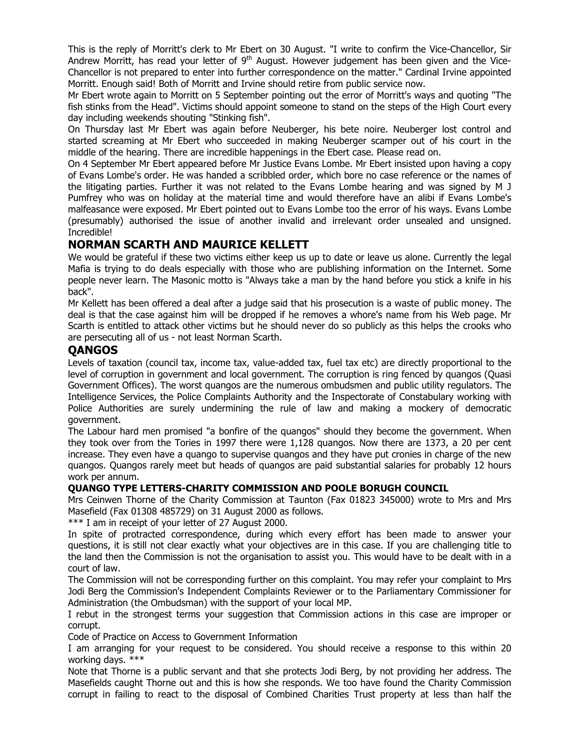This is the reply of Morritt's clerk to Mr Ebert on 30 August. "I write to confirm the Vice-Chancellor, Sir Andrew Morritt, has read your letter of  $9<sup>th</sup>$  August. However judgement has been given and the Vice-Chancellor is not prepared to enter into further correspondence on the matter." Cardinal Irvine appointed Morritt. Enough said! Both of Morritt and Irvine should retire from public service now.

Mr Ebert wrote again to Morritt on 5 September pointing out the error of Morritt's ways and quoting "The fish stinks from the Head". Victims should appoint someone to stand on the steps of the High Court every day including weekends shouting "Stinking fish".

On Thursday last Mr Ebert was again before Neuberger, his bete noire. Neuberger lost control and started screaming at Mr Ebert who succeeded in making Neuberger scamper out of his court in the middle of the hearing. There are incredible happenings in the Ebert case. Please read on.

On 4 September Mr Ebert appeared before Mr Justice Evans Lombe. Mr Ebert insisted upon having a copy of Evans Lombe's order. He was handed a scribbled order, which bore no case reference or the names of the litigating parties. Further it was not related to the Evans Lombe hearing and was signed by M J Pumfrey who was on holiday at the material time and would therefore have an alibi if Evans Lombe's malfeasance were exposed. Mr Ebert pointed out to Evans Lombe too the error of his ways. Evans Lombe (presumably) authorised the issue of another invalid and irrelevant order unsealed and unsigned. Incredible!

#### **NORMAN SCARTH AND MAURICE KELLETT**

We would be grateful if these two victims either keep us up to date or leave us alone. Currently the legal Mafia is trying to do deals especially with those who are publishing information on the Internet. Some people never learn. The Masonic motto is "Always take a man by the hand before you stick a knife in his back".

Mr Kellett has been offered a deal after a judge said that his prosecution is a waste of public money. The deal is that the case against him will be dropped if he removes a whore's name from his Web page. Mr Scarth is entitled to attack other victims but he should never do so publicly as this helps the crooks who are persecuting all of us - not least Norman Scarth.

#### **QANGOS**

Levels of taxation (council tax, income tax, value-added tax, fuel tax etc) are directly proportional to the level of corruption in government and local government. The corruption is ring fenced by quangos (Quasi Government Offices). The worst quangos are the numerous ombudsmen and public utility regulators. The Intelligence Services, the Police Complaints Authority and the Inspectorate of Constabulary working with Police Authorities are surely undermining the rule of law and making a mockery of democratic government.

The Labour hard men promised "a bonfire of the quangos" should they become the government. When they took over from the Tories in 1997 there were 1,128 quangos. Now there are 1373, a 20 per cent increase. They even have a quango to supervise quangos and they have put cronies in charge of the new quangos. Quangos rarely meet but heads of quangos are paid substantial salaries for probably 12 hours work per annum.

#### **QUANGO TYPE LETTERS-CHARITY COMMISSION AND POOLE BORUGH COUNCIL**

Mrs Ceinwen Thorne of the Charity Commission at Taunton (Fax 01823 345000) wrote to Mrs and Mrs Masefield (Fax 01308 485729) on 31 August 2000 as follows.

\*\*\* I am in receipt of your letter of 27 August 2000.

In spite of protracted correspondence, during which every effort has been made to answer your questions, it is still not clear exactly what your objectives are in this case. If you are challenging title to the land then the Commission is not the organisation to assist you. This would have to be dealt with in a court of law.

The Commission will not be corresponding further on this complaint. You may refer your complaint to Mrs Jodi Berg the Commission's Independent Complaints Reviewer or to the Parliamentary Commissioner for Administration (the Ombudsman) with the support of your local MP.

I rebut in the strongest terms your suggestion that Commission actions in this case are improper or corrupt.

Code of Practice on Access to Government Information

I am arranging for your request to be considered. You should receive a response to this within 20 working days. \*\*\*

Note that Thorne is a public servant and that she protects Jodi Berg, by not providing her address. The Masefields caught Thorne out and this is how she responds. We too have found the Charity Commission corrupt in failing to react to the disposal of Combined Charities Trust property at less than half the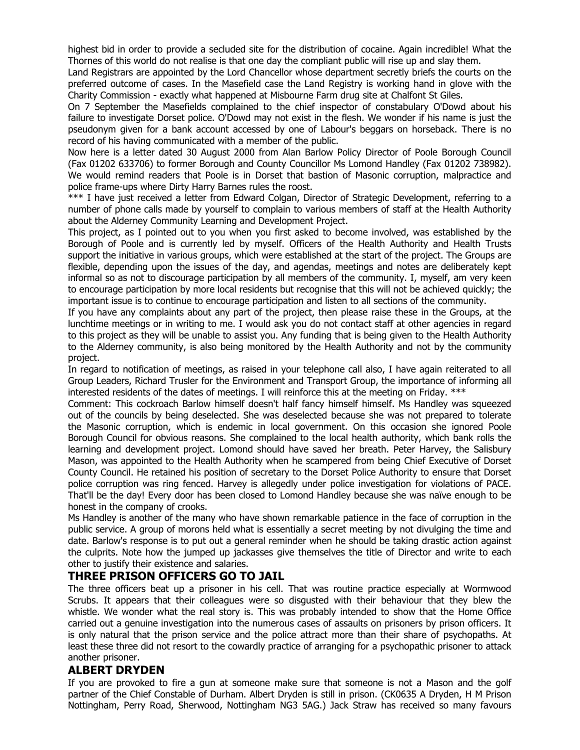highest bid in order to provide a secluded site for the distribution of cocaine. Again incredible! What the Thornes of this world do not realise is that one day the compliant public will rise up and slay them.

Land Registrars are appointed by the Lord Chancellor whose department secretly briefs the courts on the preferred outcome of cases. In the Masefield case the Land Registry is working hand in glove with the Charity Commission - exactly what happened at Misbourne Farm drug site at Chalfont St Giles.

On 7 September the Masefields complained to the chief inspector of constabulary O'Dowd about his failure to investigate Dorset police. O'Dowd may not exist in the flesh. We wonder if his name is just the pseudonym given for a bank account accessed by one of Labour's beggars on horseback. There is no record of his having communicated with a member of the public.

Now here is a letter dated 30 August 2000 from Alan Barlow Policy Director of Poole Borough Council (Fax 01202 633706) to former Borough and County Councillor Ms Lomond Handley (Fax 01202 738982). We would remind readers that Poole is in Dorset that bastion of Masonic corruption, malpractice and police frame-ups where Dirty Harry Barnes rules the roost.

\*\*\* I have just received a letter from Edward Colgan, Director of Strategic Development, referring to a number of phone calls made by yourself to complain to various members of staff at the Health Authority about the Alderney Community Learning and Development Project.

This project, as I pointed out to you when you first asked to become involved, was established by the Borough of Poole and is currently led by myself. Officers of the Health Authority and Health Trusts support the initiative in various groups, which were established at the start of the project. The Groups are flexible, depending upon the issues of the day, and agendas, meetings and notes are deliberately kept informal so as not to discourage participation by all members of the community. I, myself, am very keen to encourage participation by more local residents but recognise that this will not be achieved quickly; the important issue is to continue to encourage participation and listen to all sections of the community.

If you have any complaints about any part of the project, then please raise these in the Groups, at the lunchtime meetings or in writing to me. I would ask you do not contact staff at other agencies in regard to this project as they will be unable to assist you. Any funding that is being given to the Health Authority to the Alderney community, is also being monitored by the Health Authority and not by the community project.

In regard to notification of meetings, as raised in your telephone call also, I have again reiterated to all Group Leaders, Richard Trusler for the Environment and Transport Group, the importance of informing all interested residents of the dates of meetings. I will reinforce this at the meeting on Friday. \*\*\*

Comment: This cockroach Barlow himself doesn't half fancy himself himself. Ms Handley was squeezed out of the councils by being deselected. She was deselected because she was not prepared to tolerate the Masonic corruption, which is endemic in local government. On this occasion she ignored Poole Borough Council for obvious reasons. She complained to the local health authority, which bank rolls the learning and development project. Lomond should have saved her breath. Peter Harvey, the Salisbury Mason, was appointed to the Health Authority when he scampered from being Chief Executive of Dorset County Council. He retained his position of secretary to the Dorset Police Authority to ensure that Dorset police corruption was ring fenced. Harvey is allegedly under police investigation for violations of PACE. That'll be the day! Every door has been closed to Lomond Handley because she was naïve enough to be honest in the company of crooks.

Ms Handley is another of the many who have shown remarkable patience in the face of corruption in the public service. A group of morons held what is essentially a secret meeting by not divulging the time and date. Barlow's response is to put out a general reminder when he should be taking drastic action against the culprits. Note how the jumped up jackasses give themselves the title of Director and write to each other to justify their existence and salaries.

#### **THREE PRISON OFFICERS GO TO JAIL**

The three officers beat up a prisoner in his cell. That was routine practice especially at Wormwood Scrubs. It appears that their colleagues were so disgusted with their behaviour that they blew the whistle. We wonder what the real story is. This was probably intended to show that the Home Office carried out a genuine investigation into the numerous cases of assaults on prisoners by prison officers. It is only natural that the prison service and the police attract more than their share of psychopaths. At least these three did not resort to the cowardly practice of arranging for a psychopathic prisoner to attack another prisoner.

#### **ALBERT DRYDEN**

If you are provoked to fire a gun at someone make sure that someone is not a Mason and the golf partner of the Chief Constable of Durham. Albert Dryden is still in prison. (CK0635 A Dryden, H M Prison Nottingham, Perry Road, Sherwood, Nottingham NG3 5AG.) Jack Straw has received so many favours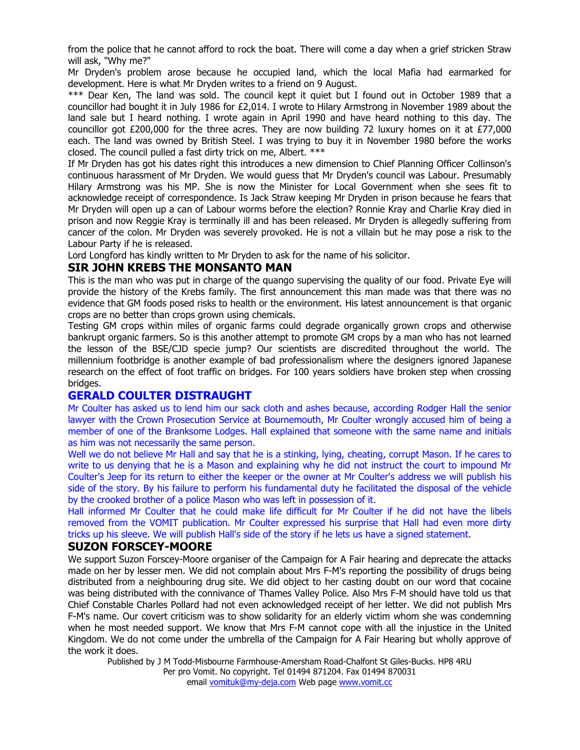from the police that he cannot afford to rock the boat. There will come a day when a grief stricken Straw will ask, "Why me?"

Mr Dryden's problem arose because he occupied land, which the local Mafia had earmarked for development. Here is what Mr Dryden writes to a friend on 9 August.

\*\*\* Dear Ken, The land was sold. The council kept it quiet but I found out in October 1989 that a councillor had bought it in July 1986 for £2,014. I wrote to Hilary Armstrong in November 1989 about the land sale but I heard nothing. I wrote again in April 1990 and have heard nothing to this day. The councillor got £200,000 for the three acres. They are now building 72 luxury homes on it at £77,000 each. The land was owned by British Steel. I was trying to buy it in November 1980 before the works closed. The council pulled a fast dirty trick on me, Albert. \*\*\*

If Mr Dryden has got his dates right this introduces a new dimension to Chief Planning Officer Collinson's continuous harassment of Mr Dryden. We would guess that Mr Dryden's council was Labour. Presumably Hilary Armstrong was his MP. She is now the Minister for Local Government when she sees fit to acknowledge receipt of correspondence. Is Jack Straw keeping Mr Dryden in prison because he fears that Mr Dryden will open up a can of Labour worms before the election? Ronnie Kray and Charlie Kray died in prison and now Reggie Kray is terminally ill and has been released. Mr Dryden is allegedly suffering from cancer of the colon. Mr Dryden was severely provoked. He is not a villain but he may pose a risk to the Labour Party if he is released.

Lord Longford has kindly written to Mr Dryden to ask for the name of his solicitor.

#### **SIR JOHN KREBS THE MONSANTO MAN**

This is the man who was put in charge of the quango supervising the quality of our food. Private Eye will provide the history of the Krebs family. The first announcement this man made was that there was no evidence that GM foods posed risks to health or the environment. His latest announcement is that organic crops are no better than crops grown using chemicals.

Testing GM crops within miles of organic farms could degrade organically grown crops and otherwise bankrupt organic farmers. So is this another attempt to promote GM crops by a man who has not learned the lesson of the BSE/CJD specie jump? Our scientists are discredited throughout the world. The millennium footbridge is another example of bad professionalism where the designers ignored Japanese research on the effect of foot traffic on bridges. For 100 years soldiers have broken step when crossing bridges.

#### **GERALD COULTER DISTRAUGHT**

Mr Coulter has asked us to lend him our sack cloth and ashes because, according Rodger Hall the senior lawyer with the Crown Prosecution Service at Bournemouth, Mr Coulter wrongly accused him of being a member of one of the Branksome Lodges. Hall explained that someone with the same name and initials as him was not necessarily the same person.

Well we do not believe Mr Hall and say that he is a stinking, lying, cheating, corrupt Mason. If he cares to write to us denying that he is a Mason and explaining why he did not instruct the court to impound Mr Coulter's Jeep for its return to either the keeper or the owner at Mr Coulter's address we will publish his side of the story. By his failure to perform his fundamental duty he facilitated the disposal of the vehicle by the crooked brother of a police Mason who was left in possession of it.

Hall informed Mr Coulter that he could make life difficult for Mr Coulter if he did not have the libels removed from the VOMIT publication. Mr Coulter expressed his surprise that Hall had even more dirty tricks up his sleeve. We will publish Hall's side of the story if he lets us have a signed statement.

#### **SUZON FORSCEY-MOORE**

We support Suzon Forscey-Moore organiser of the Campaign for A Fair hearing and deprecate the attacks made on her by lesser men. We did not complain about Mrs F-M's reporting the possibility of drugs being distributed from a neighbouring drug site. We did object to her casting doubt on our word that cocaine was being distributed with the connivance of Thames Valley Police. Also Mrs F-M should have told us that Chief Constable Charles Pollard had not even acknowledged receipt of her letter. We did not publish Mrs F-M's name. Our covert criticism was to show solidarity for an elderly victim whom she was condemning when he most needed support. We know that Mrs F-M cannot cope with all the injustice in the United Kingdom. We do not come under the umbrella of the Campaign for A Fair Hearing but wholly approve of the work it does.

Published by J M Todd-Misbourne Farmhouse-Amersham Road-Chalfont St Giles-Bucks. HP8 4RU

Per pro Vomit. No copyright. Tel 01494 871204. Fax 01494 870031 email vomituk@my-deja.com Web page www.vomit.cc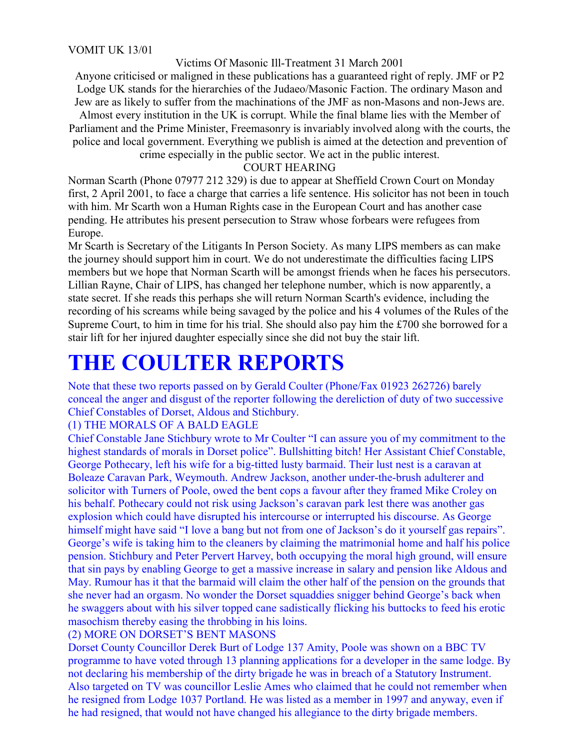Victims Of Masonic Ill-Treatment 31 March 2001

Anyone criticised or maligned in these publications has a guaranteed right of reply. JMF or P2 Lodge UK stands for the hierarchies of the Judaeo/Masonic Faction. The ordinary Mason and Jew are as likely to suffer from the machinations of the JMF as non-Masons and non-Jews are.

Almost every institution in the UK is corrupt. While the final blame lies with the Member of Parliament and the Prime Minister, Freemasonry is invariably involved along with the courts, the police and local government. Everything we publish is aimed at the detection and prevention of

crime especially in the public sector. We act in the public interest.

#### COURT HEARING

Norman Scarth (Phone 07977 212 329) is due to appear at Sheffield Crown Court on Monday first, 2 April 2001, to face a charge that carries a life sentence. His solicitor has not been in touch with him. Mr Scarth won a Human Rights case in the European Court and has another case pending. He attributes his present persecution to Straw whose forbears were refugees from Europe.

Mr Scarth is Secretary of the Litigants In Person Society. As many LIPS members as can make the journey should support him in court. We do not underestimate the difficulties facing LIPS members but we hope that Norman Scarth will be amongst friends when he faces his persecutors. Lillian Rayne, Chair of LIPS, has changed her telephone number, which is now apparently, a state secret. If she reads this perhaps she will return Norman Scarth's evidence, including the recording of his screams while being savaged by the police and his 4 volumes of the Rules of the Supreme Court, to him in time for his trial. She should also pay him the £700 she borrowed for a stair lift for her injured daughter especially since she did not buy the stair lift.

### **THE COULTER REPORTS**

Note that these two reports passed on by Gerald Coulter (Phone/Fax 01923 262726) barely conceal the anger and disgust of the reporter following the dereliction of duty of two successive Chief Constables of Dorset, Aldous and Stichbury.

#### (1) THE MORALS OF A BALD EAGLE

Chief Constable Jane Stichbury wrote to Mr Coulter "I can assure you of my commitment to the highest standards of morals in Dorset police". Bullshitting bitch! Her Assistant Chief Constable, George Pothecary, left his wife for a big-titted lusty barmaid. Their lust nest is a caravan at Boleaze Caravan Park, Weymouth. Andrew Jackson, another under-the-brush adulterer and solicitor with Turners of Poole, owed the bent cops a favour after they framed Mike Croley on his behalf. Pothecary could not risk using Jackson's caravan park lest there was another gas explosion which could have disrupted his intercourse or interrupted his discourse. As George himself might have said "I love a bang but not from one of Jackson's do it yourself gas repairs". George's wife is taking him to the cleaners by claiming the matrimonial home and half his police pension. Stichbury and Peter Pervert Harvey, both occupying the moral high ground, will ensure that sin pays by enabling George to get a massive increase in salary and pension like Aldous and May. Rumour has it that the barmaid will claim the other half of the pension on the grounds that she never had an orgasm. No wonder the Dorset squaddies snigger behind George's back when he swaggers about with his silver topped cane sadistically flicking his buttocks to feed his erotic masochism thereby easing the throbbing in his loins.

#### (2) MORE ON DORSET'S BENT MASONS

Dorset County Councillor Derek Burt of Lodge 137 Amity, Poole was shown on a BBC TV programme to have voted through 13 planning applications for a developer in the same lodge. By not declaring his membership of the dirty brigade he was in breach of a Statutory Instrument. Also targeted on TV was councillor Leslie Ames who claimed that he could not remember when he resigned from Lodge 1037 Portland. He was listed as a member in 1997 and anyway, even if he had resigned, that would not have changed his allegiance to the dirty brigade members.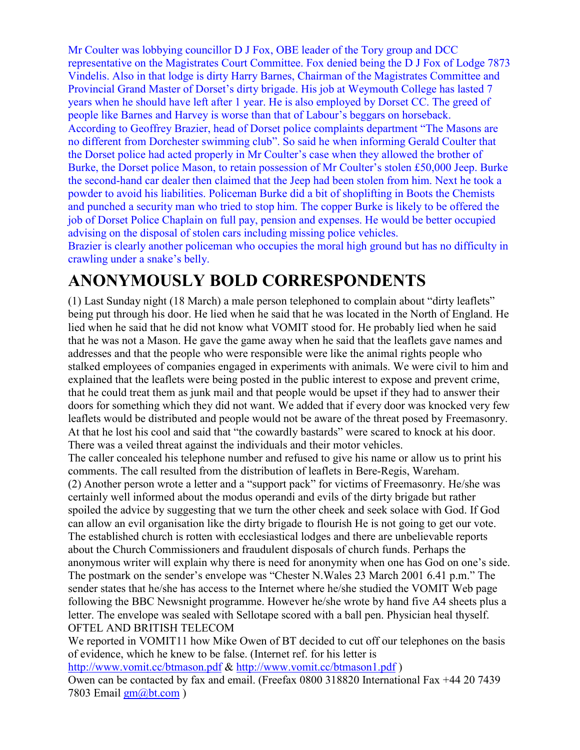Mr Coulter was lobbying councillor D J Fox, OBE leader of the Tory group and DCC representative on the Magistrates Court Committee. Fox denied being the D J Fox of Lodge 7873 Vindelis. Also in that lodge is dirty Harry Barnes, Chairman of the Magistrates Committee and Provincial Grand Master of Dorset's dirty brigade. His job at Weymouth College has lasted 7 years when he should have left after 1 year. He is also employed by Dorset CC. The greed of people like Barnes and Harvey is worse than that of Labour's beggars on horseback. According to Geoffrey Brazier, head of Dorset police complaints department "The Masons are no different from Dorchester swimming club". So said he when informing Gerald Coulter that the Dorset police had acted properly in Mr Coulter's case when they allowed the brother of Burke, the Dorset police Mason, to retain possession of Mr Coulter's stolen £50,000 Jeep. Burke the second-hand car dealer then claimed that the Jeep had been stolen from him. Next he took a powder to avoid his liabilities. Policeman Burke did a bit of shoplifting in Boots the Chemists and punched a security man who tried to stop him. The copper Burke is likely to be offered the job of Dorset Police Chaplain on full pay, pension and expenses. He would be better occupied advising on the disposal of stolen cars including missing police vehicles. Brazier is clearly another policeman who occupies the moral high ground but has no difficulty in crawling under a snake's belly.

### **ANONYMOUSLY BOLD CORRESPONDENTS**

(1) Last Sunday night (18 March) a male person telephoned to complain about "dirty leaflets" being put through his door. He lied when he said that he was located in the North of England. He lied when he said that he did not know what VOMIT stood for. He probably lied when he said that he was not a Mason. He gave the game away when he said that the leaflets gave names and addresses and that the people who were responsible were like the animal rights people who stalked employees of companies engaged in experiments with animals. We were civil to him and explained that the leaflets were being posted in the public interest to expose and prevent crime, that he could treat them as junk mail and that people would be upset if they had to answer their doors for something which they did not want. We added that if every door was knocked very few leaflets would be distributed and people would not be aware of the threat posed by Freemasonry. At that he lost his cool and said that "the cowardly bastards" were scared to knock at his door. There was a veiled threat against the individuals and their motor vehicles.

The caller concealed his telephone number and refused to give his name or allow us to print his comments. The call resulted from the distribution of leaflets in Bere-Regis, Wareham.

(2) Another person wrote a letter and a "support pack" for victims of Freemasonry. He/she was certainly well informed about the modus operandi and evils of the dirty brigade but rather spoiled the advice by suggesting that we turn the other cheek and seek solace with God. If God can allow an evil organisation like the dirty brigade to flourish He is not going to get our vote. The established church is rotten with ecclesiastical lodges and there are unbelievable reports about the Church Commissioners and fraudulent disposals of church funds. Perhaps the anonymous writer will explain why there is need for anonymity when one has God on one's side. The postmark on the sender's envelope was "Chester N.Wales 23 March 2001 6.41 p.m." The sender states that he/she has access to the Internet where he/she studied the VOMIT Web page following the BBC Newsnight programme. However he/she wrote by hand five A4 sheets plus a letter. The envelope was sealed with Sellotape scored with a ball pen. Physician heal thyself. OFTEL AND BRITISH TELECOM

We reported in VOMIT11 how Mike Owen of BT decided to cut off our telephones on the basis of evidence, which he knew to be false. (Internet ref. for his letter is

http://www.vomit.cc/btmason.pdf & http://www.vomit.cc/btmason1.pdf )

Owen can be contacted by fax and email. (Freefax 0800 318820 International Fax +44 20 7439 7803 Email  $\frac{gm(\omega)$ <sub>t.com</sub> )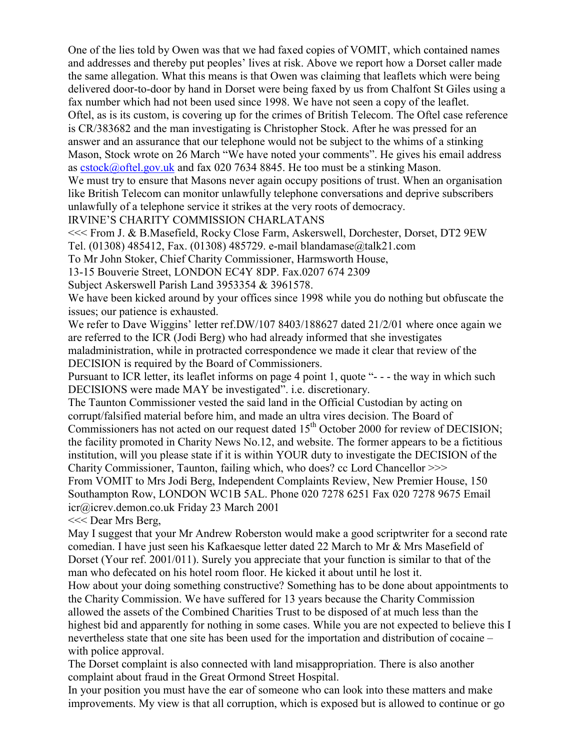One of the lies told by Owen was that we had faxed copies of VOMIT, which contained names and addresses and thereby put peoples' lives at risk. Above we report how a Dorset caller made the same allegation. What this means is that Owen was claiming that leaflets which were being delivered door-to-door by hand in Dorset were being faxed by us from Chalfont St Giles using a fax number which had not been used since 1998. We have not seen a copy of the leaflet.

Oftel, as is its custom, is covering up for the crimes of British Telecom. The Oftel case reference is CR/383682 and the man investigating is Christopher Stock. After he was pressed for an answer and an assurance that our telephone would not be subject to the whims of a stinking Mason, Stock wrote on 26 March "We have noted your comments". He gives his email address as cstock@oftel.gov.uk and fax 020 7634 8845. He too must be a stinking Mason.

We must try to ensure that Masons never again occupy positions of trust. When an organisation like British Telecom can monitor unlawfully telephone conversations and deprive subscribers unlawfully of a telephone service it strikes at the very roots of democracy.

IRVINE'S CHARITY COMMISSION CHARLATANS

<<< From J. & B.Masefield, Rocky Close Farm, Askerswell, Dorchester, Dorset, DT2 9EW Tel. (01308) 485412, Fax. (01308) 485729. e-mail blandamase@talk21.com

To Mr John Stoker, Chief Charity Commissioner, Harmsworth House,

13-15 Bouverie Street, LONDON EC4Y 8DP. Fax.0207 674 2309

Subject Askerswell Parish Land 3953354 & 3961578.

We have been kicked around by your offices since 1998 while you do nothing but obfuscate the issues; our patience is exhausted.

We refer to Dave Wiggins' letter ref. DW/107 8403/188627 dated 21/2/01 where once again we are referred to the ICR (Jodi Berg) who had already informed that she investigates maladministration, while in protracted correspondence we made it clear that review of the DECISION is required by the Board of Commissioners.

Pursuant to ICR letter, its leaflet informs on page 4 point 1, quote "- - - the way in which such DECISIONS were made MAY be investigated". i.e. discretionary.

The Taunton Commissioner vested the said land in the Official Custodian by acting on corrupt/falsified material before him, and made an ultra vires decision. The Board of Commissioners has not acted on our request dated  $15<sup>th</sup>$  October 2000 for review of DECISION; the facility promoted in Charity News No.12, and website. The former appears to be a fictitious institution, will you please state if it is within YOUR duty to investigate the DECISION of the Charity Commissioner, Taunton, failing which, who does? cc Lord Chancellor >>> From VOMIT to Mrs Jodi Berg, Independent Complaints Review, New Premier House, 150

Southampton Row, LONDON WC1B 5AL. Phone 020 7278 6251 Fax 020 7278 9675 Email icr@icrev.demon.co.uk Friday 23 March 2001

<<< Dear Mrs Berg,

May I suggest that your Mr Andrew Roberston would make a good scriptwriter for a second rate comedian. I have just seen his Kafkaesque letter dated 22 March to Mr & Mrs Masefield of Dorset (Your ref. 2001/011). Surely you appreciate that your function is similar to that of the man who defecated on his hotel room floor. He kicked it about until he lost it.

How about your doing something constructive? Something has to be done about appointments to the Charity Commission. We have suffered for 13 years because the Charity Commission allowed the assets of the Combined Charities Trust to be disposed of at much less than the highest bid and apparently for nothing in some cases. While you are not expected to believe this I nevertheless state that one site has been used for the importation and distribution of cocaine – with police approval.

The Dorset complaint is also connected with land misappropriation. There is also another complaint about fraud in the Great Ormond Street Hospital.

In your position you must have the ear of someone who can look into these matters and make improvements. My view is that all corruption, which is exposed but is allowed to continue or go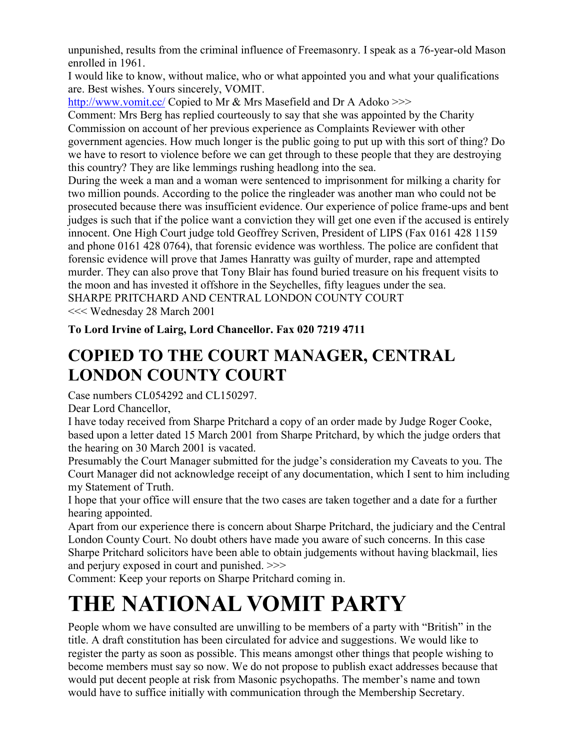unpunished, results from the criminal influence of Freemasonry. I speak as a 76-year-old Mason enrolled in 1961.

I would like to know, without malice, who or what appointed you and what your qualifications are. Best wishes. Yours sincerely, VOMIT.

http://www.vomit.cc/ Copied to Mr & Mrs Masefield and Dr A Adoko >>>

Comment: Mrs Berg has replied courteously to say that she was appointed by the Charity Commission on account of her previous experience as Complaints Reviewer with other government agencies. How much longer is the public going to put up with this sort of thing? Do we have to resort to violence before we can get through to these people that they are destroying this country? They are like lemmings rushing headlong into the sea.

During the week a man and a woman were sentenced to imprisonment for milking a charity for two million pounds. According to the police the ringleader was another man who could not be prosecuted because there was insufficient evidence. Our experience of police frame-ups and bent judges is such that if the police want a conviction they will get one even if the accused is entirely innocent. One High Court judge told Geoffrey Scriven, President of LIPS (Fax 0161 428 1159 and phone 0161 428 0764), that forensic evidence was worthless. The police are confident that forensic evidence will prove that James Hanratty was guilty of murder, rape and attempted murder. They can also prove that Tony Blair has found buried treasure on his frequent visits to the moon and has invested it offshore in the Seychelles, fifty leagues under the sea. SHARPE PRITCHARD AND CENTRAL LONDON COUNTY COURT

<<< Wednesday 28 March 2001

**To Lord Irvine of Lairg, Lord Chancellor. Fax 020 7219 4711**

### **COPIED TO THE COURT MANAGER, CENTRAL LONDON COUNTY COURT**

Case numbers CL054292 and CL150297.

Dear Lord Chancellor,

I have today received from Sharpe Pritchard a copy of an order made by Judge Roger Cooke, based upon a letter dated 15 March 2001 from Sharpe Pritchard, by which the judge orders that the hearing on 30 March 2001 is vacated.

Presumably the Court Manager submitted for the judge's consideration my Caveats to you. The Court Manager did not acknowledge receipt of any documentation, which I sent to him including my Statement of Truth.

I hope that your office will ensure that the two cases are taken together and a date for a further hearing appointed.

Apart from our experience there is concern about Sharpe Pritchard, the judiciary and the Central London County Court. No doubt others have made you aware of such concerns. In this case Sharpe Pritchard solicitors have been able to obtain judgements without having blackmail, lies and perjury exposed in court and punished. >>>

Comment: Keep your reports on Sharpe Pritchard coming in.

# **THE NATIONAL VOMIT PARTY**

People whom we have consulted are unwilling to be members of a party with "British" in the title. A draft constitution has been circulated for advice and suggestions. We would like to register the party as soon as possible. This means amongst other things that people wishing to become members must say so now. We do not propose to publish exact addresses because that would put decent people at risk from Masonic psychopaths. The member's name and town would have to suffice initially with communication through the Membership Secretary.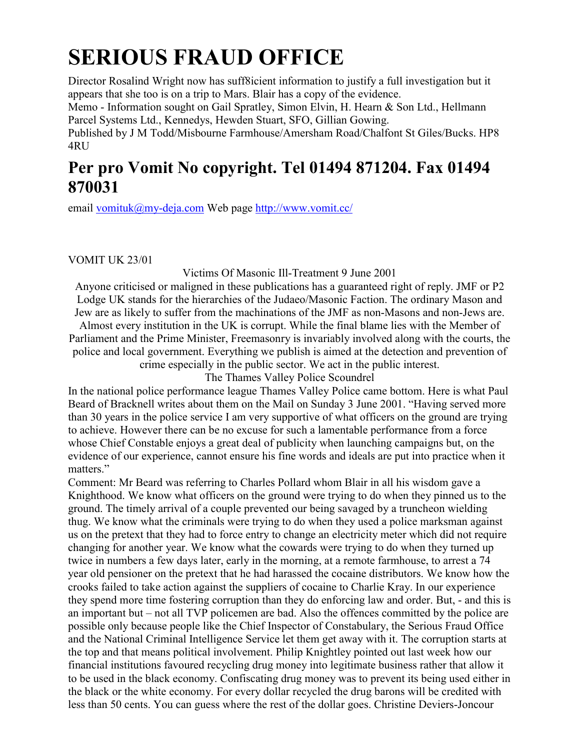# **SERIOUS FRAUD OFFICE**

Director Rosalind Wright now has suff8icient information to justify a full investigation but it appears that she too is on a trip to Mars. Blair has a copy of the evidence.

Memo - Information sought on Gail Spratley, Simon Elvin, H. Hearn & Son Ltd., Hellmann Parcel Systems Ltd., Kennedys, Hewden Stuart, SFO, Gillian Gowing.

Published by J M Todd/Misbourne Farmhouse/Amersham Road/Chalfont St Giles/Bucks. HP8 4RU

### **Per pro Vomit No copyright. Tel 01494 871204. Fax 01494 870031**

email vomituk@my-deja.com Web page http://www.vomit.cc/

VOMIT UK 23/01

Victims Of Masonic Ill-Treatment 9 June 2001

Anyone criticised or maligned in these publications has a guaranteed right of reply. JMF or P2 Lodge UK stands for the hierarchies of the Judaeo/Masonic Faction. The ordinary Mason and Jew are as likely to suffer from the machinations of the JMF as non-Masons and non-Jews are.

Almost every institution in the UK is corrupt. While the final blame lies with the Member of Parliament and the Prime Minister, Freemasonry is invariably involved along with the courts, the police and local government. Everything we publish is aimed at the detection and prevention of crime especially in the public sector. We act in the public interest.

The Thames Valley Police Scoundrel

In the national police performance league Thames Valley Police came bottom. Here is what Paul Beard of Bracknell writes about them on the Mail on Sunday 3 June 2001. "Having served more than 30 years in the police service I am very supportive of what officers on the ground are trying to achieve. However there can be no excuse for such a lamentable performance from a force whose Chief Constable enjoys a great deal of publicity when launching campaigns but, on the evidence of our experience, cannot ensure his fine words and ideals are put into practice when it matters."

Comment: Mr Beard was referring to Charles Pollard whom Blair in all his wisdom gave a Knighthood. We know what officers on the ground were trying to do when they pinned us to the ground. The timely arrival of a couple prevented our being savaged by a truncheon wielding thug. We know what the criminals were trying to do when they used a police marksman against us on the pretext that they had to force entry to change an electricity meter which did not require changing for another year. We know what the cowards were trying to do when they turned up twice in numbers a few days later, early in the morning, at a remote farmhouse, to arrest a 74 year old pensioner on the pretext that he had harassed the cocaine distributors. We know how the crooks failed to take action against the suppliers of cocaine to Charlie Kray. In our experience they spend more time fostering corruption than they do enforcing law and order. But, - and this is an important but – not all TVP policemen are bad. Also the offences committed by the police are possible only because people like the Chief Inspector of Constabulary, the Serious Fraud Office and the National Criminal Intelligence Service let them get away with it. The corruption starts at the top and that means political involvement. Philip Knightley pointed out last week how our financial institutions favoured recycling drug money into legitimate business rather that allow it to be used in the black economy. Confiscating drug money was to prevent its being used either in the black or the white economy. For every dollar recycled the drug barons will be credited with less than 50 cents. You can guess where the rest of the dollar goes. Christine Deviers-Joncour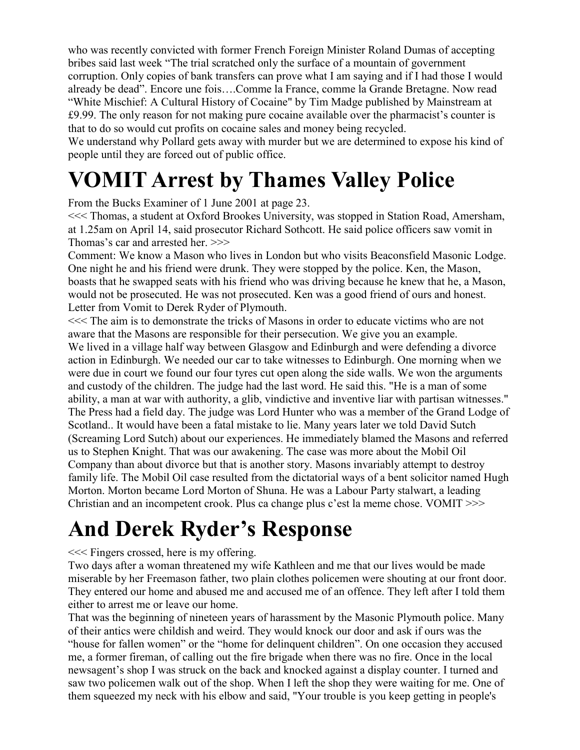who was recently convicted with former French Foreign Minister Roland Dumas of accepting bribes said last week "The trial scratched only the surface of a mountain of government corruption. Only copies of bank transfers can prove what I am saying and if I had those I would already be dead". Encore une fois….Comme la France, comme la Grande Bretagne. Now read "White Mischief: A Cultural History of Cocaine" by Tim Madge published by Mainstream at £9.99. The only reason for not making pure cocaine available over the pharmacist's counter is that to do so would cut profits on cocaine sales and money being recycled.

We understand why Pollard gets away with murder but we are determined to expose his kind of people until they are forced out of public office.

# **VOMIT Arrest by Thames Valley Police**

From the Bucks Examiner of 1 June 2001 at page 23.

<<< Thomas, a student at Oxford Brookes University, was stopped in Station Road, Amersham, at 1.25am on April 14, said prosecutor Richard Sothcott. He said police officers saw vomit in Thomas's car and arrested her. >>>

Comment: We know a Mason who lives in London but who visits Beaconsfield Masonic Lodge. One night he and his friend were drunk. They were stopped by the police. Ken, the Mason, boasts that he swapped seats with his friend who was driving because he knew that he, a Mason, would not be prosecuted. He was not prosecuted. Ken was a good friend of ours and honest. Letter from Vomit to Derek Ryder of Plymouth.

<<< The aim is to demonstrate the tricks of Masons in order to educate victims who are not aware that the Masons are responsible for their persecution. We give you an example.

We lived in a village half way between Glasgow and Edinburgh and were defending a divorce action in Edinburgh. We needed our car to take witnesses to Edinburgh. One morning when we were due in court we found our four tyres cut open along the side walls. We won the arguments and custody of the children. The judge had the last word. He said this. "He is a man of some ability, a man at war with authority, a glib, vindictive and inventive liar with partisan witnesses." The Press had a field day. The judge was Lord Hunter who was a member of the Grand Lodge of Scotland.. It would have been a fatal mistake to lie. Many years later we told David Sutch (Screaming Lord Sutch) about our experiences. He immediately blamed the Masons and referred us to Stephen Knight. That was our awakening. The case was more about the Mobil Oil Company than about divorce but that is another story. Masons invariably attempt to destroy family life. The Mobil Oil case resulted from the dictatorial ways of a bent solicitor named Hugh Morton. Morton became Lord Morton of Shuna. He was a Labour Party stalwart, a leading Christian and an incompetent crook. Plus ca change plus c'est la meme chose. VOMIT >>>

# **And Derek Ryder's Response**

### <<< Fingers crossed, here is my offering.

Two days after a woman threatened my wife Kathleen and me that our lives would be made miserable by her Freemason father, two plain clothes policemen were shouting at our front door. They entered our home and abused me and accused me of an offence. They left after I told them either to arrest me or leave our home.

That was the beginning of nineteen years of harassment by the Masonic Plymouth police. Many of their antics were childish and weird. They would knock our door and ask if ours was the "house for fallen women" or the "home for delinquent children". On one occasion they accused me, a former fireman, of calling out the fire brigade when there was no fire. Once in the local newsagent's shop I was struck on the back and knocked against a display counter. I turned and saw two policemen walk out of the shop. When I left the shop they were waiting for me. One of them squeezed my neck with his elbow and said, "Your trouble is you keep getting in people's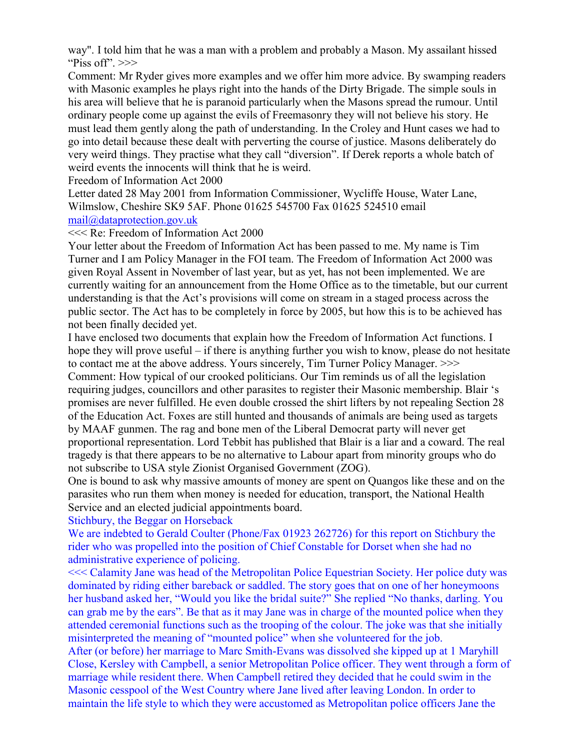way". I told him that he was a man with a problem and probably a Mason. My assailant hissed "Piss off". $>>$ 

Comment: Mr Ryder gives more examples and we offer him more advice. By swamping readers with Masonic examples he plays right into the hands of the Dirty Brigade. The simple souls in his area will believe that he is paranoid particularly when the Masons spread the rumour. Until ordinary people come up against the evils of Freemasonry they will not believe his story. He must lead them gently along the path of understanding. In the Croley and Hunt cases we had to go into detail because these dealt with perverting the course of justice. Masons deliberately do very weird things. They practise what they call "diversion". If Derek reports a whole batch of weird events the innocents will think that he is weird.

#### Freedom of Information Act 2000

Letter dated 28 May 2001 from Information Commissioner, Wycliffe House, Water Lane, Wilmslow, Cheshire SK9 5AF. Phone 01625 545700 Fax 01625 524510 email mail@dataprotection.gov.uk

### <<< Re: Freedom of Information Act 2000

Your letter about the Freedom of Information Act has been passed to me. My name is Tim Turner and I am Policy Manager in the FOI team. The Freedom of Information Act 2000 was given Royal Assent in November of last year, but as yet, has not been implemented. We are currently waiting for an announcement from the Home Office as to the timetable, but our current understanding is that the Act's provisions will come on stream in a staged process across the public sector. The Act has to be completely in force by 2005, but how this is to be achieved has not been finally decided yet.

I have enclosed two documents that explain how the Freedom of Information Act functions. I hope they will prove useful – if there is anything further you wish to know, please do not hesitate to contact me at the above address. Yours sincerely, Tim Turner Policy Manager. >>> Comment: How typical of our crooked politicians. Our Tim reminds us of all the legislation requiring judges, councillors and other parasites to register their Masonic membership. Blair 's promises are never fulfilled. He even double crossed the shirt lifters by not repealing Section 28 of the Education Act. Foxes are still hunted and thousands of animals are being used as targets by MAAF gunmen. The rag and bone men of the Liberal Democrat party will never get proportional representation. Lord Tebbit has published that Blair is a liar and a coward. The real tragedy is that there appears to be no alternative to Labour apart from minority groups who do not subscribe to USA style Zionist Organised Government (ZOG).

One is bound to ask why massive amounts of money are spent on Quangos like these and on the parasites who run them when money is needed for education, transport, the National Health Service and an elected judicial appointments board.

#### Stichbury, the Beggar on Horseback

We are indebted to Gerald Coulter (Phone/Fax 01923 262726) for this report on Stichbury the rider who was propelled into the position of Chief Constable for Dorset when she had no administrative experience of policing.

<<< Calamity Jane was head of the Metropolitan Police Equestrian Society. Her police duty was dominated by riding either bareback or saddled. The story goes that on one of her honeymoons her husband asked her, "Would you like the bridal suite?" She replied "No thanks, darling. You can grab me by the ears". Be that as it may Jane was in charge of the mounted police when they attended ceremonial functions such as the trooping of the colour. The joke was that she initially misinterpreted the meaning of "mounted police" when she volunteered for the job.

After (or before) her marriage to Marc Smith-Evans was dissolved she kipped up at 1 Maryhill Close, Kersley with Campbell, a senior Metropolitan Police officer. They went through a form of marriage while resident there. When Campbell retired they decided that he could swim in the Masonic cesspool of the West Country where Jane lived after leaving London. In order to maintain the life style to which they were accustomed as Metropolitan police officers Jane the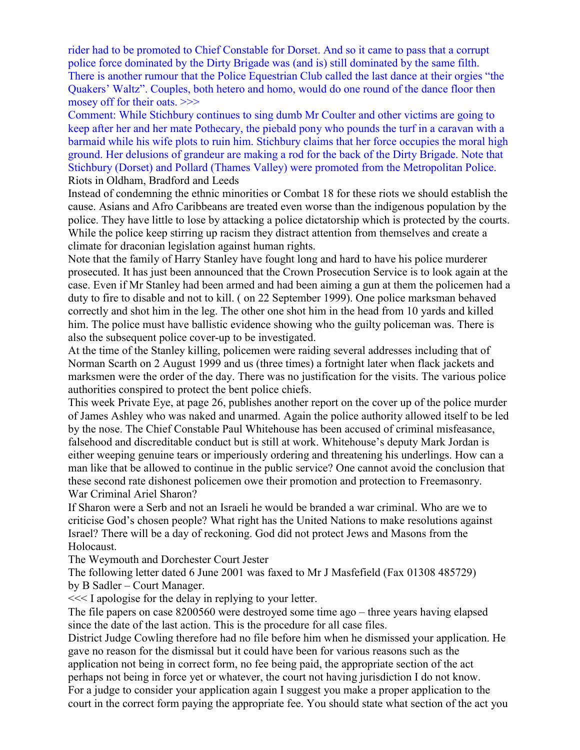rider had to be promoted to Chief Constable for Dorset. And so it came to pass that a corrupt police force dominated by the Dirty Brigade was (and is) still dominated by the same filth. There is another rumour that the Police Equestrian Club called the last dance at their orgies "the Quakers' Waltz". Couples, both hetero and homo, would do one round of the dance floor then mosey off for their oats. >>>

Comment: While Stichbury continues to sing dumb Mr Coulter and other victims are going to keep after her and her mate Pothecary, the piebald pony who pounds the turf in a caravan with a barmaid while his wife plots to ruin him. Stichbury claims that her force occupies the moral high ground. Her delusions of grandeur are making a rod for the back of the Dirty Brigade. Note that Stichbury (Dorset) and Pollard (Thames Valley) were promoted from the Metropolitan Police. Riots in Oldham, Bradford and Leeds

Instead of condemning the ethnic minorities or Combat 18 for these riots we should establish the cause. Asians and Afro Caribbeans are treated even worse than the indigenous population by the police. They have little to lose by attacking a police dictatorship which is protected by the courts. While the police keep stirring up racism they distract attention from themselves and create a climate for draconian legislation against human rights.

Note that the family of Harry Stanley have fought long and hard to have his police murderer prosecuted. It has just been announced that the Crown Prosecution Service is to look again at the case. Even if Mr Stanley had been armed and had been aiming a gun at them the policemen had a duty to fire to disable and not to kill. ( on 22 September 1999). One police marksman behaved correctly and shot him in the leg. The other one shot him in the head from 10 yards and killed him. The police must have ballistic evidence showing who the guilty policeman was. There is also the subsequent police cover-up to be investigated.

At the time of the Stanley killing, policemen were raiding several addresses including that of Norman Scarth on 2 August 1999 and us (three times) a fortnight later when flack jackets and marksmen were the order of the day. There was no justification for the visits. The various police authorities conspired to protect the bent police chiefs.

This week Private Eye, at page 26, publishes another report on the cover up of the police murder of James Ashley who was naked and unarmed. Again the police authority allowed itself to be led by the nose. The Chief Constable Paul Whitehouse has been accused of criminal misfeasance, falsehood and discreditable conduct but is still at work. Whitehouse's deputy Mark Jordan is either weeping genuine tears or imperiously ordering and threatening his underlings. How can a man like that be allowed to continue in the public service? One cannot avoid the conclusion that these second rate dishonest policemen owe their promotion and protection to Freemasonry. War Criminal Ariel Sharon?

If Sharon were a Serb and not an Israeli he would be branded a war criminal. Who are we to criticise God's chosen people? What right has the United Nations to make resolutions against Israel? There will be a day of reckoning. God did not protect Jews and Masons from the Holocaust.

The Weymouth and Dorchester Court Jester

The following letter dated 6 June 2001 was faxed to Mr J Masfefield (Fax 01308 485729) by B Sadler – Court Manager.

<<< I apologise for the delay in replying to your letter.

The file papers on case 8200560 were destroyed some time ago – three years having elapsed since the date of the last action. This is the procedure for all case files.

District Judge Cowling therefore had no file before him when he dismissed your application. He gave no reason for the dismissal but it could have been for various reasons such as the application not being in correct form, no fee being paid, the appropriate section of the act perhaps not being in force yet or whatever, the court not having jurisdiction I do not know. For a judge to consider your application again I suggest you make a proper application to the

court in the correct form paying the appropriate fee. You should state what section of the act you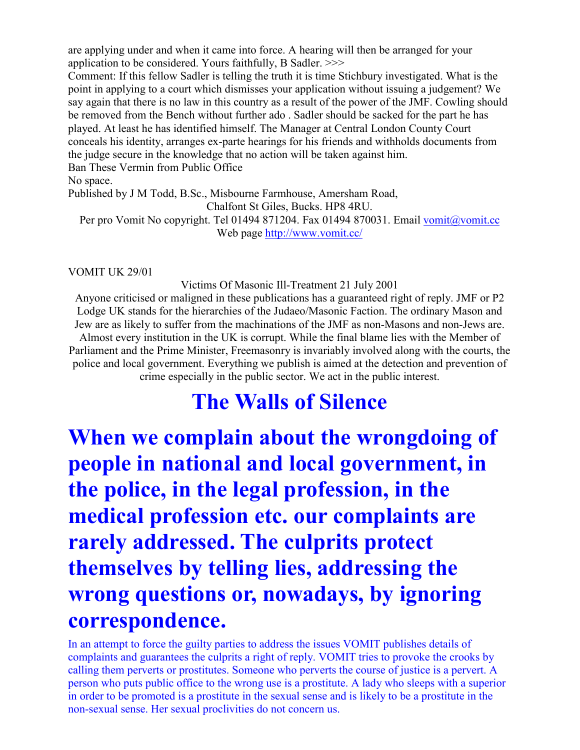are applying under and when it came into force. A hearing will then be arranged for your application to be considered. Yours faithfully, B Sadler. >>>

Comment: If this fellow Sadler is telling the truth it is time Stichbury investigated. What is the point in applying to a court which dismisses your application without issuing a judgement? We say again that there is no law in this country as a result of the power of the JMF. Cowling should be removed from the Bench without further ado . Sadler should be sacked for the part he has played. At least he has identified himself. The Manager at Central London County Court conceals his identity, arranges ex-parte hearings for his friends and withholds documents from the judge secure in the knowledge that no action will be taken against him. Ban These Vermin from Public Office

No space.

Published by J M Todd, B.Sc., Misbourne Farmhouse, Amersham Road,

Chalfont St Giles, Bucks. HP8 4RU.

Per pro Vomit No copyright. Tel 01494 871204. Fax 01494 870031. Email vomit@vomit.cc Web page http://www.vomit.cc/

#### VOMIT UK 29/01

Victims Of Masonic Ill-Treatment 21 July 2001

Anyone criticised or maligned in these publications has a guaranteed right of reply. JMF or P2 Lodge UK stands for the hierarchies of the Judaeo/Masonic Faction. The ordinary Mason and Jew are as likely to suffer from the machinations of the JMF as non-Masons and non-Jews are. Almost every institution in the UK is corrupt. While the final blame lies with the Member of Parliament and the Prime Minister, Freemasonry is invariably involved along with the courts, the police and local government. Everything we publish is aimed at the detection and prevention of crime especially in the public sector. We act in the public interest.

### **The Walls of Silence**

**When we complain about the wrongdoing of people in national and local government, in the police, in the legal profession, in the medical profession etc. our complaints are rarely addressed. The culprits protect themselves by telling lies, addressing the wrong questions or, nowadays, by ignoring correspondence.**

In an attempt to force the guilty parties to address the issues VOMIT publishes details of complaints and guarantees the culprits a right of reply. VOMIT tries to provoke the crooks by calling them perverts or prostitutes. Someone who perverts the course of justice is a pervert. A person who puts public office to the wrong use is a prostitute. A lady who sleeps with a superior in order to be promoted is a prostitute in the sexual sense and is likely to be a prostitute in the non-sexual sense. Her sexual proclivities do not concern us.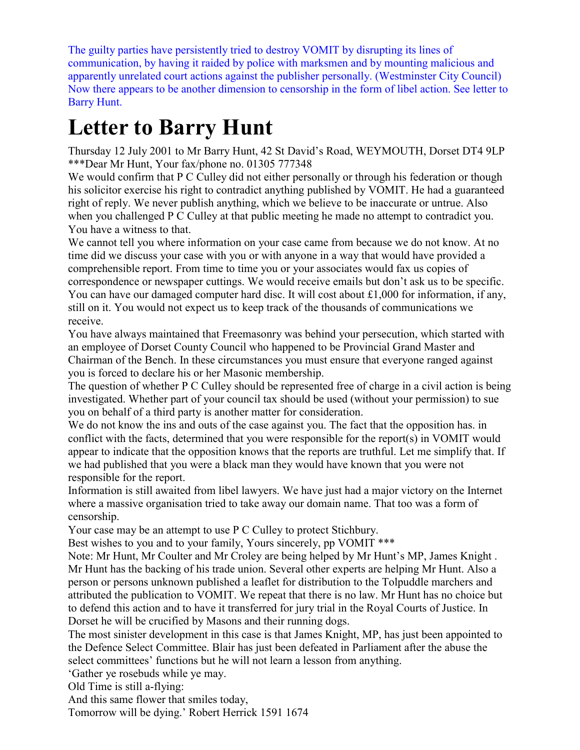The guilty parties have persistently tried to destroy VOMIT by disrupting its lines of communication, by having it raided by police with marksmen and by mounting malicious and apparently unrelated court actions against the publisher personally. (Westminster City Council) Now there appears to be another dimension to censorship in the form of libel action. See letter to Barry Hunt.

## **Letter to Barry Hunt**

Thursday 12 July 2001 to Mr Barry Hunt, 42 St David's Road, WEYMOUTH, Dorset DT4 9LP \*\*\*Dear Mr Hunt, Your fax/phone no. 01305 777348

We would confirm that P C Culley did not either personally or through his federation or though his solicitor exercise his right to contradict anything published by VOMIT. He had a guaranteed right of reply. We never publish anything, which we believe to be inaccurate or untrue. Also when you challenged P C Culley at that public meeting he made no attempt to contradict you. You have a witness to that.

We cannot tell you where information on your case came from because we do not know. At no time did we discuss your case with you or with anyone in a way that would have provided a comprehensible report. From time to time you or your associates would fax us copies of correspondence or newspaper cuttings. We would receive emails but don't ask us to be specific. You can have our damaged computer hard disc. It will cost about £1,000 for information, if any, still on it. You would not expect us to keep track of the thousands of communications we receive.

You have always maintained that Freemasonry was behind your persecution, which started with an employee of Dorset County Council who happened to be Provincial Grand Master and Chairman of the Bench. In these circumstances you must ensure that everyone ranged against you is forced to declare his or her Masonic membership.

The question of whether P C Culley should be represented free of charge in a civil action is being investigated. Whether part of your council tax should be used (without your permission) to sue you on behalf of a third party is another matter for consideration.

We do not know the ins and outs of the case against you. The fact that the opposition has, in conflict with the facts, determined that you were responsible for the report(s) in VOMIT would appear to indicate that the opposition knows that the reports are truthful. Let me simplify that. If we had published that you were a black man they would have known that you were not responsible for the report.

Information is still awaited from libel lawyers. We have just had a major victory on the Internet where a massive organisation tried to take away our domain name. That too was a form of censorship.

Your case may be an attempt to use P C Culley to protect Stichbury.

Best wishes to you and to your family, Yours sincerely, pp VOMIT \*\*\*

Note: Mr Hunt, Mr Coulter and Mr Croley are being helped by Mr Hunt's MP, James Knight . Mr Hunt has the backing of his trade union. Several other experts are helping Mr Hunt. Also a person or persons unknown published a leaflet for distribution to the Tolpuddle marchers and attributed the publication to VOMIT. We repeat that there is no law. Mr Hunt has no choice but to defend this action and to have it transferred for jury trial in the Royal Courts of Justice. In Dorset he will be crucified by Masons and their running dogs.

The most sinister development in this case is that James Knight, MP, has just been appointed to the Defence Select Committee. Blair has just been defeated in Parliament after the abuse the select committees' functions but he will not learn a lesson from anything.

'Gather ye rosebuds while ye may.

Old Time is still a-flying:

And this same flower that smiles today,

Tomorrow will be dying.' Robert Herrick 1591 1674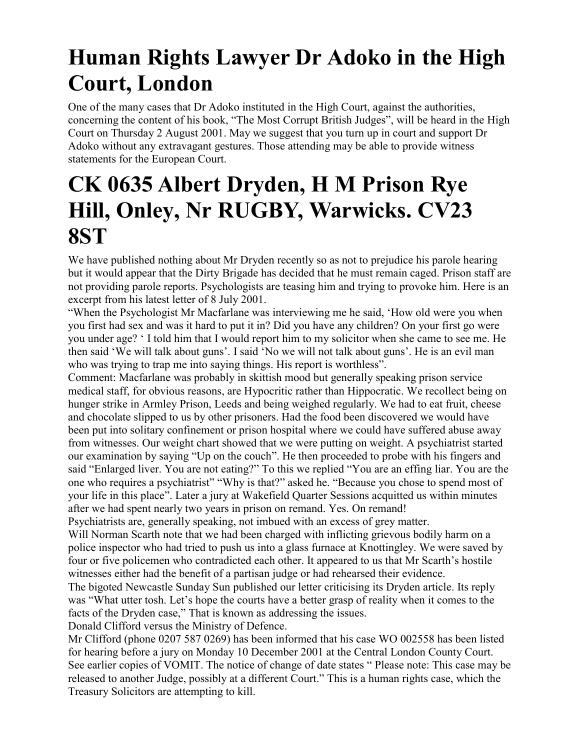## **Human Rights Lawyer Dr Adoko in the High Court, London**

One of the many cases that Dr Adoko instituted in the High Court, against the authorities, concerning the content of his book, "The Most Corrupt British Judges", will be heard in the High Court on Thursday 2 August 2001. May we suggest that you turn up in court and support Dr Adoko without any extravagant gestures. Those attending may be able to provide witness statements for the European Court.

### **CK 0635 Albert Dryden, H M Prison Rye Hill, Onley, Nr RUGBY, Warwicks. CV23 8ST**

We have published nothing about Mr Dryden recently so as not to prejudice his parole hearing but it would appear that the Dirty Brigade has decided that he must remain caged. Prison staff are not providing parole reports. Psychologists are teasing him and trying to provoke him. Here is an excerpt from his latest letter of 8 July 2001.

"When the Psychologist Mr Macfarlane was interviewing me he said, 'How old were you when you first had sex and was it hard to put it in? Did you have any children? On your first go were you under age? ' I told him that I would report him to my solicitor when she came to see me. He then said 'We will talk about guns'. I said 'No we will not talk about guns'. He is an evil man who was trying to trap me into saying things. His report is worthless".

Comment: Macfarlane was probably in skittish mood but generally speaking prison service medical staff, for obvious reasons, are Hypocritic rather than Hippocratic. We recollect being on hunger strike in Armley Prison, Leeds and being weighed regularly. We had to eat fruit, cheese and chocolate slipped to us by other prisoners. Had the food been discovered we would have been put into solitary confinement or prison hospital where we could have suffered abuse away from witnesses. Our weight chart showed that we were putting on weight. A psychiatrist started our examination by saying "Up on the couch". He then proceeded to probe with his fingers and said "Enlarged liver. You are not eating?" To this we replied "You are an effing liar. You are the one who requires a psychiatrist" "Why is that?" asked he. "Because you chose to spend most of your life in this place". Later a jury at Wakefield Quarter Sessions acquitted us within minutes after we had spent nearly two years in prison on remand. Yes. On remand!

Psychiatrists are, generally speaking, not imbued with an excess of grey matter.

Will Norman Scarth note that we had been charged with inflicting grievous bodily harm on a police inspector who had tried to push us into a glass furnace at Knottingley. We were saved by four or five policemen who contradicted each other. It appeared to us that Mr Scarth's hostile witnesses either had the benefit of a partisan judge or had rehearsed their evidence.

The bigoted Newcastle Sunday Sun published our letter criticising its Dryden article. Its reply was "What utter tosh. Let's hope the courts have a better grasp of reality when it comes to the facts of the Dryden case," That is known as addressing the issues.

Donald Clifford versus the Ministry of Defence.

Mr Clifford (phone 0207 587 0269) has been informed that his case WO 002558 has been listed for hearing before a jury on Monday 10 December 2001 at the Central London County Court. See earlier copies of VOMIT. The notice of change of date states " Please note: This case may be released to another Judge, possibly at a different Court." This is a human rights case, which the Treasury Solicitors are attempting to kill.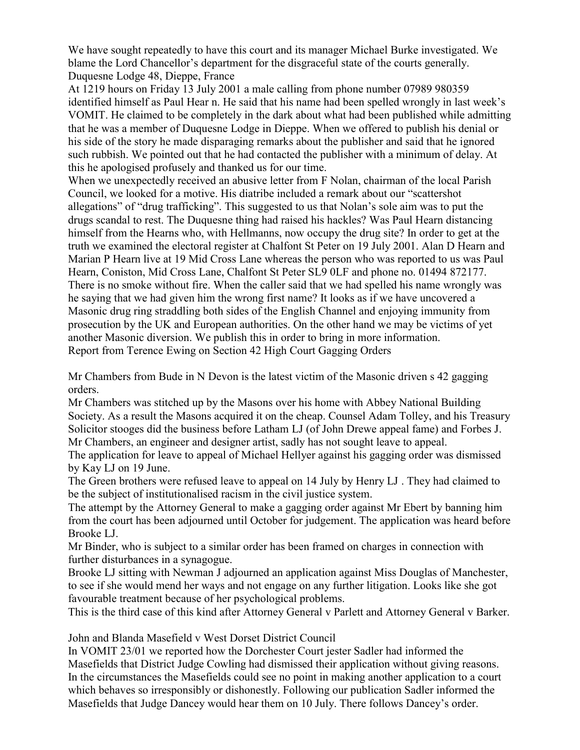We have sought repeatedly to have this court and its manager Michael Burke investigated. We blame the Lord Chancellor's department for the disgraceful state of the courts generally. Duquesne Lodge 48, Dieppe, France

At 1219 hours on Friday 13 July 2001 a male calling from phone number 07989 980359 identified himself as Paul Hear n. He said that his name had been spelled wrongly in last week's VOMIT. He claimed to be completely in the dark about what had been published while admitting that he was a member of Duquesne Lodge in Dieppe. When we offered to publish his denial or his side of the story he made disparaging remarks about the publisher and said that he ignored such rubbish. We pointed out that he had contacted the publisher with a minimum of delay. At this he apologised profusely and thanked us for our time.

When we unexpectedly received an abusive letter from F Nolan, chairman of the local Parish Council, we looked for a motive. His diatribe included a remark about our "scattershot allegations" of "drug trafficking". This suggested to us that Nolan's sole aim was to put the drugs scandal to rest. The Duquesne thing had raised his hackles? Was Paul Hearn distancing himself from the Hearns who, with Hellmanns, now occupy the drug site? In order to get at the truth we examined the electoral register at Chalfont St Peter on 19 July 2001. Alan D Hearn and Marian P Hearn live at 19 Mid Cross Lane whereas the person who was reported to us was Paul Hearn, Coniston, Mid Cross Lane, Chalfont St Peter SL9 0LF and phone no. 01494 872177. There is no smoke without fire. When the caller said that we had spelled his name wrongly was he saying that we had given him the wrong first name? It looks as if we have uncovered a Masonic drug ring straddling both sides of the English Channel and enjoying immunity from prosecution by the UK and European authorities. On the other hand we may be victims of yet another Masonic diversion. We publish this in order to bring in more information. Report from Terence Ewing on Section 42 High Court Gagging Orders

Mr Chambers from Bude in N Devon is the latest victim of the Masonic driven s 42 gagging orders.

Mr Chambers was stitched up by the Masons over his home with Abbey National Building Society. As a result the Masons acquired it on the cheap. Counsel Adam Tolley, and his Treasury Solicitor stooges did the business before Latham LJ (of John Drewe appeal fame) and Forbes J. Mr Chambers, an engineer and designer artist, sadly has not sought leave to appeal.

The application for leave to appeal of Michael Hellyer against his gagging order was dismissed by Kay LJ on 19 June.

The Green brothers were refused leave to appeal on 14 July by Henry LJ . They had claimed to be the subject of institutionalised racism in the civil justice system.

The attempt by the Attorney General to make a gagging order against Mr Ebert by banning him from the court has been adjourned until October for judgement. The application was heard before Brooke LJ.

Mr Binder, who is subject to a similar order has been framed on charges in connection with further disturbances in a synagogue.

Brooke LJ sitting with Newman J adjourned an application against Miss Douglas of Manchester, to see if she would mend her ways and not engage on any further litigation. Looks like she got favourable treatment because of her psychological problems.

This is the third case of this kind after Attorney General v Parlett and Attorney General v Barker.

John and Blanda Masefield v West Dorset District Council

In VOMIT 23/01 we reported how the Dorchester Court jester Sadler had informed the Masefields that District Judge Cowling had dismissed their application without giving reasons. In the circumstances the Masefields could see no point in making another application to a court which behaves so irresponsibly or dishonestly. Following our publication Sadler informed the Masefields that Judge Dancey would hear them on 10 July. There follows Dancey's order.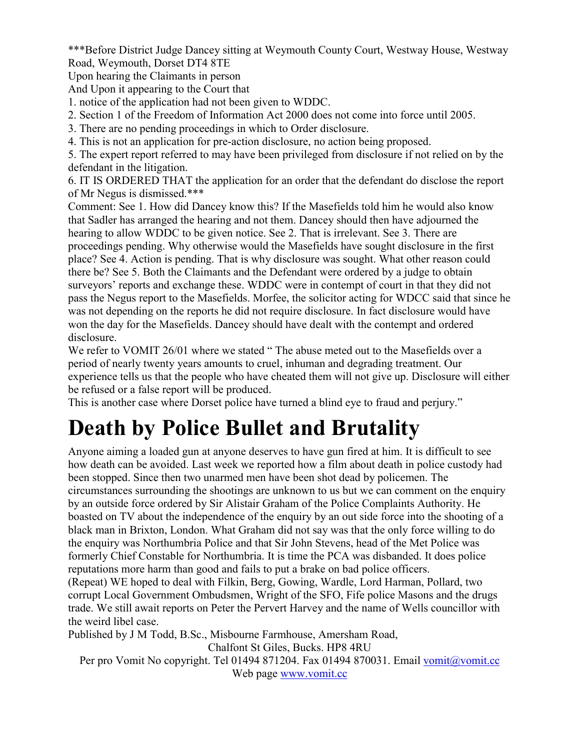\*\*\*Before District Judge Dancey sitting at Weymouth County Court, Westway House, Westway Road, Weymouth, Dorset DT4 8TE

Upon hearing the Claimants in person

And Upon it appearing to the Court that

1. notice of the application had not been given to WDDC.

2. Section 1 of the Freedom of Information Act 2000 does not come into force until 2005.

3. There are no pending proceedings in which to Order disclosure.

4. This is not an application for pre-action disclosure, no action being proposed.

5. The expert report referred to may have been privileged from disclosure if not relied on by the defendant in the litigation.

6. IT IS ORDERED THAT the application for an order that the defendant do disclose the report of Mr Negus is dismissed.\*\*\*

Comment: See 1. How did Dancey know this? If the Masefields told him he would also know that Sadler has arranged the hearing and not them. Dancey should then have adjourned the hearing to allow WDDC to be given notice. See 2. That is irrelevant. See 3. There are proceedings pending. Why otherwise would the Masefields have sought disclosure in the first place? See 4. Action is pending. That is why disclosure was sought. What other reason could there be? See 5. Both the Claimants and the Defendant were ordered by a judge to obtain surveyors' reports and exchange these. WDDC were in contempt of court in that they did not pass the Negus report to the Masefields. Morfee, the solicitor acting for WDCC said that since he was not depending on the reports he did not require disclosure. In fact disclosure would have won the day for the Masefields. Dancey should have dealt with the contempt and ordered disclosure.

We refer to VOMIT 26/01 where we stated "The abuse meted out to the Masefields over a period of nearly twenty years amounts to cruel, inhuman and degrading treatment. Our experience tells us that the people who have cheated them will not give up. Disclosure will either be refused or a false report will be produced.

This is another case where Dorset police have turned a blind eye to fraud and perjury."

## **Death by Police Bullet and Brutality**

Anyone aiming a loaded gun at anyone deserves to have gun fired at him. It is difficult to see how death can be avoided. Last week we reported how a film about death in police custody had been stopped. Since then two unarmed men have been shot dead by policemen. The circumstances surrounding the shootings are unknown to us but we can comment on the enquiry by an outside force ordered by Sir Alistair Graham of the Police Complaints Authority. He boasted on TV about the independence of the enquiry by an out side force into the shooting of a black man in Brixton, London. What Graham did not say was that the only force willing to do the enquiry was Northumbria Police and that Sir John Stevens, head of the Met Police was formerly Chief Constable for Northumbria. It is time the PCA was disbanded. It does police reputations more harm than good and fails to put a brake on bad police officers.

(Repeat) WE hoped to deal with Filkin, Berg, Gowing, Wardle, Lord Harman, Pollard, two corrupt Local Government Ombudsmen, Wright of the SFO, Fife police Masons and the drugs trade. We still await reports on Peter the Pervert Harvey and the name of Wells councillor with the weird libel case.

Published by J M Todd, B.Sc., Misbourne Farmhouse, Amersham Road,

Chalfont St Giles, Bucks. HP8 4RU

Per pro Vomit No copyright. Tel 01494 871204. Fax 01494 870031. Email vomit@vomit.cc Web page www.vomit.cc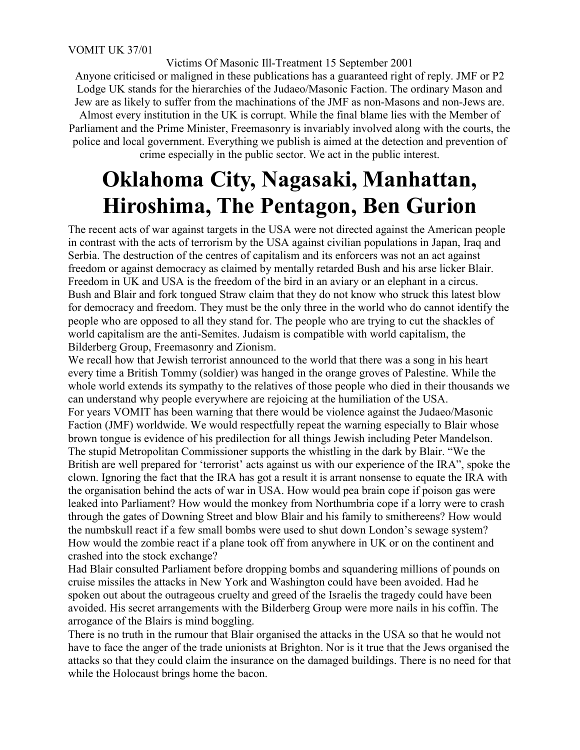Victims Of Masonic Ill-Treatment 15 September 2001

Anyone criticised or maligned in these publications has a guaranteed right of reply. JMF or P2 Lodge UK stands for the hierarchies of the Judaeo/Masonic Faction. The ordinary Mason and Jew are as likely to suffer from the machinations of the JMF as non-Masons and non-Jews are. Almost every institution in the UK is corrupt. While the final blame lies with the Member of Parliament and the Prime Minister, Freemasonry is invariably involved along with the courts, the police and local government. Everything we publish is aimed at the detection and prevention of crime especially in the public sector. We act in the public interest.

### **Oklahoma City, Nagasaki, Manhattan, Hiroshima, The Pentagon, Ben Gurion**

The recent acts of war against targets in the USA were not directed against the American people in contrast with the acts of terrorism by the USA against civilian populations in Japan, Iraq and Serbia. The destruction of the centres of capitalism and its enforcers was not an act against freedom or against democracy as claimed by mentally retarded Bush and his arse licker Blair. Freedom in UK and USA is the freedom of the bird in an aviary or an elephant in a circus. Bush and Blair and fork tongued Straw claim that they do not know who struck this latest blow for democracy and freedom. They must be the only three in the world who do cannot identify the people who are opposed to all they stand for. The people who are trying to cut the shackles of world capitalism are the anti-Semites. Judaism is compatible with world capitalism, the Bilderberg Group, Freemasonry and Zionism.

We recall how that Jewish terrorist announced to the world that there was a song in his heart every time a British Tommy (soldier) was hanged in the orange groves of Palestine. While the whole world extends its sympathy to the relatives of those people who died in their thousands we can understand why people everywhere are rejoicing at the humiliation of the USA. For years VOMIT has been warning that there would be violence against the Judaeo/Masonic Faction (JMF) worldwide. We would respectfully repeat the warning especially to Blair whose brown tongue is evidence of his predilection for all things Jewish including Peter Mandelson. The stupid Metropolitan Commissioner supports the whistling in the dark by Blair. "We the British are well prepared for 'terrorist' acts against us with our experience of the IRA", spoke the clown. Ignoring the fact that the IRA has got a result it is arrant nonsense to equate the IRA with the organisation behind the acts of war in USA. How would pea brain cope if poison gas were leaked into Parliament? How would the monkey from Northumbria cope if a lorry were to crash through the gates of Downing Street and blow Blair and his family to smithereens? How would the numbskull react if a few small bombs were used to shut down London's sewage system? How would the zombie react if a plane took off from anywhere in UK or on the continent and crashed into the stock exchange?

Had Blair consulted Parliament before dropping bombs and squandering millions of pounds on cruise missiles the attacks in New York and Washington could have been avoided. Had he spoken out about the outrageous cruelty and greed of the Israelis the tragedy could have been avoided. His secret arrangements with the Bilderberg Group were more nails in his coffin. The arrogance of the Blairs is mind boggling.

There is no truth in the rumour that Blair organised the attacks in the USA so that he would not have to face the anger of the trade unionists at Brighton. Nor is it true that the Jews organised the attacks so that they could claim the insurance on the damaged buildings. There is no need for that while the Holocaust brings home the bacon.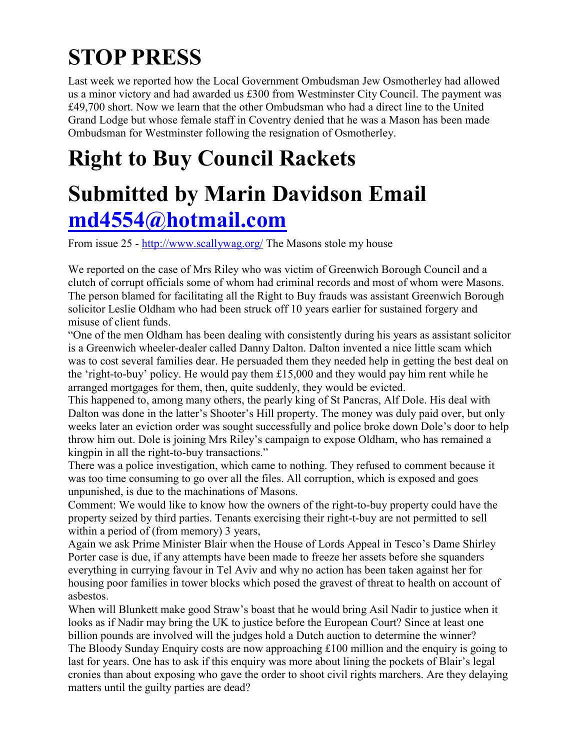# **STOP PRESS**

Last week we reported how the Local Government Ombudsman Jew Osmotherley had allowed us a minor victory and had awarded us £300 from Westminster City Council. The payment was £49,700 short. Now we learn that the other Ombudsman who had a direct line to the United Grand Lodge but whose female staff in Coventry denied that he was a Mason has been made Ombudsman for Westminster following the resignation of Osmotherley.

# **Right to Buy Council Rackets**

# **Submitted by Marin Davidson Email md4554@hotmail.com**

From issue 25 - http://www.scallywag.org/ The Masons stole my house

We reported on the case of Mrs Riley who was victim of Greenwich Borough Council and a clutch of corrupt officials some of whom had criminal records and most of whom were Masons. The person blamed for facilitating all the Right to Buy frauds was assistant Greenwich Borough solicitor Leslie Oldham who had been struck off 10 years earlier for sustained forgery and misuse of client funds.

"One of the men Oldham has been dealing with consistently during his years as assistant solicitor is a Greenwich wheeler-dealer called Danny Dalton. Dalton invented a nice little scam which was to cost several families dear. He persuaded them they needed help in getting the best deal on the 'right-to-buy' policy. He would pay them £15,000 and they would pay him rent while he arranged mortgages for them, then, quite suddenly, they would be evicted.

This happened to, among many others, the pearly king of St Pancras, Alf Dole. His deal with Dalton was done in the latter's Shooter's Hill property. The money was duly paid over, but only weeks later an eviction order was sought successfully and police broke down Dole's door to help throw him out. Dole is joining Mrs Riley's campaign to expose Oldham, who has remained a kingpin in all the right-to-buy transactions."

There was a police investigation, which came to nothing. They refused to comment because it was too time consuming to go over all the files. All corruption, which is exposed and goes unpunished, is due to the machinations of Masons.

Comment: We would like to know how the owners of the right-to-buy property could have the property seized by third parties. Tenants exercising their right-t-buy are not permitted to sell within a period of (from memory) 3 years,

Again we ask Prime Minister Blair when the House of Lords Appeal in Tesco's Dame Shirley Porter case is due, if any attempts have been made to freeze her assets before she squanders everything in currying favour in Tel Aviv and why no action has been taken against her for housing poor families in tower blocks which posed the gravest of threat to health on account of asbestos.

When will Blunkett make good Straw's boast that he would bring Asil Nadir to justice when it looks as if Nadir may bring the UK to justice before the European Court? Since at least one billion pounds are involved will the judges hold a Dutch auction to determine the winner? The Bloody Sunday Enquiry costs are now approaching £100 million and the enquiry is going to last for years. One has to ask if this enquiry was more about lining the pockets of Blair's legal cronies than about exposing who gave the order to shoot civil rights marchers. Are they delaying matters until the guilty parties are dead?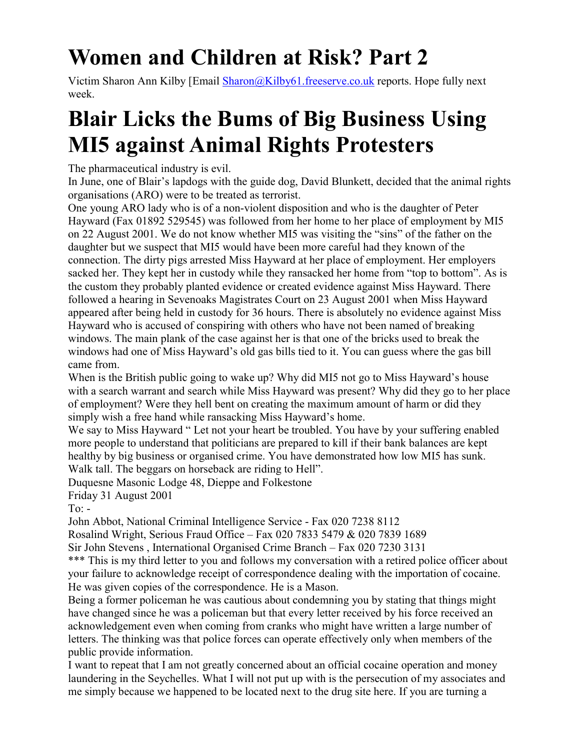# **Women and Children at Risk? Part 2**

Victim Sharon Ann Kilby [Email Sharon@Kilby61.freeserve.co.uk reports. Hope fully next week.

## **Blair Licks the Bums of Big Business Using MI5 against Animal Rights Protesters**

The pharmaceutical industry is evil.

In June, one of Blair's lapdogs with the guide dog, David Blunkett, decided that the animal rights organisations (ARO) were to be treated as terrorist.

One young ARO lady who is of a non-violent disposition and who is the daughter of Peter Hayward (Fax 01892 529545) was followed from her home to her place of employment by MI5 on 22 August 2001. We do not know whether MI5 was visiting the "sins" of the father on the daughter but we suspect that MI5 would have been more careful had they known of the connection. The dirty pigs arrested Miss Hayward at her place of employment. Her employers sacked her. They kept her in custody while they ransacked her home from "top to bottom". As is the custom they probably planted evidence or created evidence against Miss Hayward. There followed a hearing in Sevenoaks Magistrates Court on 23 August 2001 when Miss Hayward appeared after being held in custody for 36 hours. There is absolutely no evidence against Miss Hayward who is accused of conspiring with others who have not been named of breaking windows. The main plank of the case against her is that one of the bricks used to break the windows had one of Miss Hayward's old gas bills tied to it. You can guess where the gas bill came from.

When is the British public going to wake up? Why did MI5 not go to Miss Hayward's house with a search warrant and search while Miss Hayward was present? Why did they go to her place of employment? Were they hell bent on creating the maximum amount of harm or did they simply wish a free hand while ransacking Miss Hayward's home.

We say to Miss Hayward " Let not your heart be troubled. You have by your suffering enabled more people to understand that politicians are prepared to kill if their bank balances are kept healthy by big business or organised crime. You have demonstrated how low MI5 has sunk. Walk tall. The beggars on horseback are riding to Hell".

Duquesne Masonic Lodge 48, Dieppe and Folkestone

Friday 31 August 2001

To:  $-$ 

John Abbot, National Criminal Intelligence Service - Fax 020 7238 8112

Rosalind Wright, Serious Fraud Office – Fax 020 7833 5479 & 020 7839 1689

Sir John Stevens , International Organised Crime Branch – Fax 020 7230 3131

\*\*\* This is my third letter to you and follows my conversation with a retired police officer about your failure to acknowledge receipt of correspondence dealing with the importation of cocaine. He was given copies of the correspondence. He is a Mason.

Being a former policeman he was cautious about condemning you by stating that things might have changed since he was a policeman but that every letter received by his force received an acknowledgement even when coming from cranks who might have written a large number of letters. The thinking was that police forces can operate effectively only when members of the public provide information.

I want to repeat that I am not greatly concerned about an official cocaine operation and money laundering in the Seychelles. What I will not put up with is the persecution of my associates and me simply because we happened to be located next to the drug site here. If you are turning a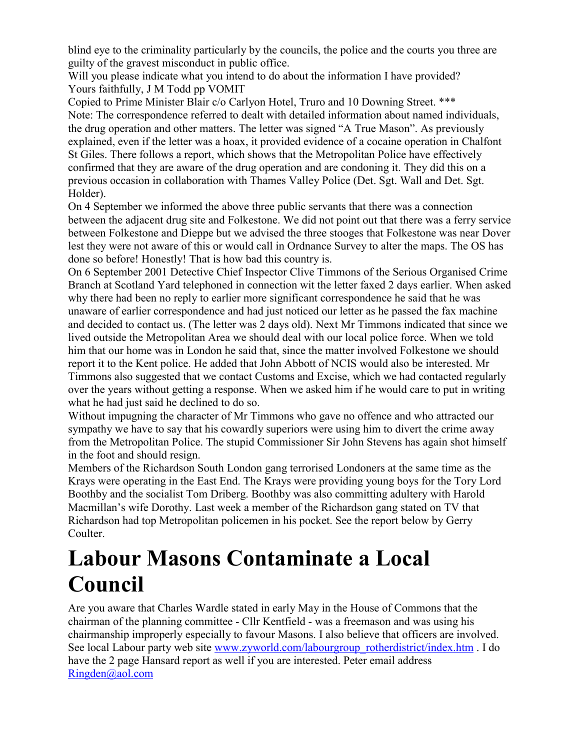blind eye to the criminality particularly by the councils, the police and the courts you three are guilty of the gravest misconduct in public office.

Will you please indicate what you intend to do about the information I have provided? Yours faithfully, J M Todd pp VOMIT

Copied to Prime Minister Blair c/o Carlyon Hotel, Truro and 10 Downing Street. \*\*\* Note: The correspondence referred to dealt with detailed information about named individuals, the drug operation and other matters. The letter was signed "A True Mason". As previously explained, even if the letter was a hoax, it provided evidence of a cocaine operation in Chalfont St Giles. There follows a report, which shows that the Metropolitan Police have effectively confirmed that they are aware of the drug operation and are condoning it. They did this on a previous occasion in collaboration with Thames Valley Police (Det. Sgt. Wall and Det. Sgt. Holder).

On 4 September we informed the above three public servants that there was a connection between the adjacent drug site and Folkestone. We did not point out that there was a ferry service between Folkestone and Dieppe but we advised the three stooges that Folkestone was near Dover lest they were not aware of this or would call in Ordnance Survey to alter the maps. The OS has done so before! Honestly! That is how bad this country is.

On 6 September 2001 Detective Chief Inspector Clive Timmons of the Serious Organised Crime Branch at Scotland Yard telephoned in connection wit the letter faxed 2 days earlier. When asked why there had been no reply to earlier more significant correspondence he said that he was unaware of earlier correspondence and had just noticed our letter as he passed the fax machine and decided to contact us. (The letter was 2 days old). Next Mr Timmons indicated that since we lived outside the Metropolitan Area we should deal with our local police force. When we told him that our home was in London he said that, since the matter involved Folkestone we should report it to the Kent police. He added that John Abbott of NCIS would also be interested. Mr Timmons also suggested that we contact Customs and Excise, which we had contacted regularly over the years without getting a response. When we asked him if he would care to put in writing what he had just said he declined to do so.

Without impugning the character of Mr Timmons who gave no offence and who attracted our sympathy we have to say that his cowardly superiors were using him to divert the crime away from the Metropolitan Police. The stupid Commissioner Sir John Stevens has again shot himself in the foot and should resign.

Members of the Richardson South London gang terrorised Londoners at the same time as the Krays were operating in the East End. The Krays were providing young boys for the Tory Lord Boothby and the socialist Tom Driberg. Boothby was also committing adultery with Harold Macmillan's wife Dorothy. Last week a member of the Richardson gang stated on TV that Richardson had top Metropolitan policemen in his pocket. See the report below by Gerry **Coulter** 

### **Labour Masons Contaminate a Local Council**

Are you aware that Charles Wardle stated in early May in the House of Commons that the chairman of the planning committee - Cllr Kentfield - was a freemason and was using his chairmanship improperly especially to favour Masons. I also believe that officers are involved. See local Labour party web site www.zyworld.com/labourgroup\_rotherdistrict/index.htm . I do have the 2 page Hansard report as well if you are interested. Peter email address Ringden@aol.com